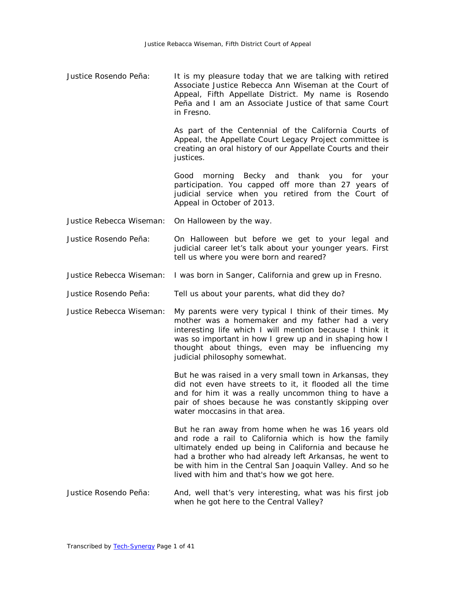Justice Rosendo Peña: It is my pleasure today that we are talking with retired Associate Justice Rebecca Ann Wiseman at the Court of Appeal, Fifth Appellate District. My name is Rosendo Peña and I am an Associate Justice of that same Court in Fresno.

> As part of the Centennial of the California Courts of Appeal, the Appellate Court Legacy Project committee is creating an oral history of our Appellate Courts and their justices.

> Good morning Becky and thank you for your participation. You capped off more than 27 years of judicial service when you retired from the Court of Appeal in October of 2013.

- Justice Rebecca Wiseman: On Halloween by the way.
- Justice Rosendo Peña: On Halloween but before we get to your legal and judicial career let's talk about your younger years. First tell us where you were born and reared?
- Justice Rebecca Wiseman: I was born in Sanger, California and grew up in Fresno.
- Justice Rosendo Peña: Tell us about your parents, what did they do?
- Justice Rebecca Wiseman: My parents were very typical I think of their times. My mother was a homemaker and my father had a very interesting life which I will mention because I think it was so important in how I grew up and in shaping how I thought about things, even may be influencing my judicial philosophy somewhat.

But he was raised in a very small town in Arkansas, they did not even have streets to it, it flooded all the time and for him it was a really uncommon thing to have a pair of shoes because he was constantly skipping over water moccasins in that area.

But he ran away from home when he was 16 years old and rode a rail to California which is how the family ultimately ended up being in California and because he had a brother who had already left Arkansas, he went to be with him in the Central San Joaquin Valley. And so he lived with him and that's how we got here.

Justice Rosendo Peña: And, well that's very interesting, what was his first job when he got here to the Central Valley?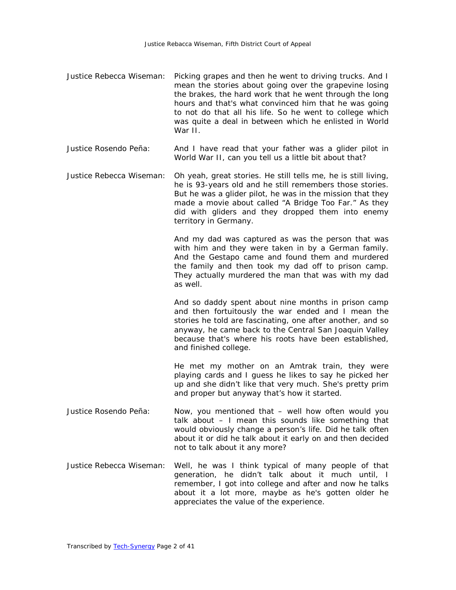- Justice Rebecca Wiseman: Picking grapes and then he went to driving trucks. And I mean the stories about going over the grapevine losing the brakes, the hard work that he went through the long hours and that's what convinced him that he was going to not do that all his life. So he went to college which was quite a deal in between which he enlisted in World War II.
- Justice Rosendo Peña: And I have read that your father was a glider pilot in World War II, can you tell us a little bit about that?
- Justice Rebecca Wiseman: Oh yeah, great stories. He still tells me, he is still living, he is 93-years old and he still remembers those stories. But he was a glider pilot, he was in the mission that they made a movie about called "A Bridge Too Far." As they did with gliders and they dropped them into enemy territory in Germany.

And my dad was captured as was the person that was with him and they were taken in by a German family. And the Gestapo came and found them and murdered the family and then took my dad off to prison camp. They actually murdered the man that was with my dad as well.

And so daddy spent about nine months in prison camp and then fortuitously the war ended and I mean the stories he told are fascinating, one after another, and so anyway, he came back to the Central San Joaquin Valley because that's where his roots have been established, and finished college.

He met my mother on an Amtrak train, they were playing cards and I guess he likes to say he picked her up and she didn't like that very much. She's pretty prim and proper but anyway that's how it started.

- Justice Rosendo Peña: Now, you mentioned that well how often would you talk about – I mean this sounds like something that would obviously change a person's life. Did he talk often about it or did he talk about it early on and then decided not to talk about it any more?
- Justice Rebecca Wiseman: Well, he was I think typical of many people of that generation, he didn't talk about it much until, I remember, I got into college and after and now he talks about it a lot more, maybe as he's gotten older he appreciates the value of the experience.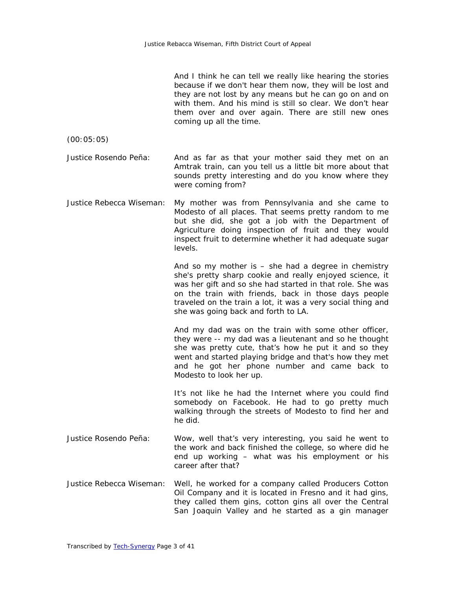| And I think he can tell we really like hearing the stories                    |
|-------------------------------------------------------------------------------|
| because if we don't hear them now, they will be lost and                      |
| they are not lost by any means but he can go on and on                        |
| with them. And his mind is still so clear. We don't hear                      |
| them over and over again. There are still new ones<br>coming up all the time. |

(00:05:05)

Justice Rosendo Peña: And as far as that your mother said they met on an Amtrak train, can you tell us a little bit more about that sounds pretty interesting and do you know where they were coming from?

Justice Rebecca Wiseman: My mother was from Pennsylvania and she came to Modesto of all places. That seems pretty random to me but she did, she got a job with the Department of Agriculture doing inspection of fruit and they would inspect fruit to determine whether it had adequate sugar levels.

> And so my mother is – she had a degree in chemistry she's pretty sharp cookie and really enjoyed science, it was her gift and so she had started in that role. She was on the train with friends, back in those days people traveled on the train a lot, it was a very social thing and she was going back and forth to LA.

> And my dad was on the train with some other officer, they were -- my dad was a lieutenant and so he thought she was pretty cute, that's how he put it and so they went and started playing bridge and that's how they met and he got her phone number and came back to Modesto to look her up.

> It's not like he had the Internet where you could find somebody on Facebook. He had to go pretty much walking through the streets of Modesto to find her and he did.

- Justice Rosendo Peña: Wow, well that's very interesting, you said he went to the work and back finished the college, so where did he end up working – what was his employment or his career after that?
- Justice Rebecca Wiseman: Well, he worked for a company called Producers Cotton Oil Company and it is located in Fresno and it had gins, they called them gins, cotton gins all over the Central San Joaquin Valley and he started as a gin manager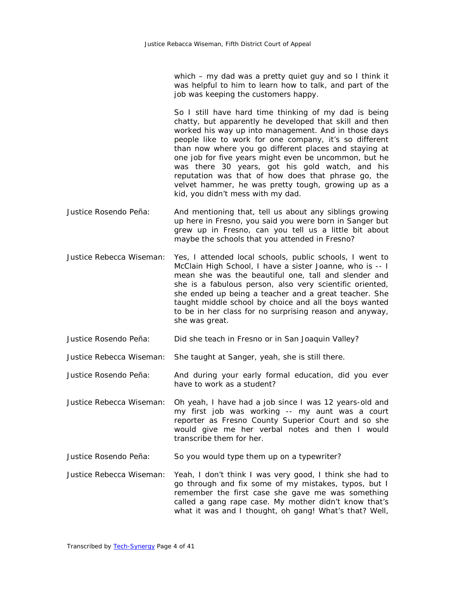which – my dad was a pretty quiet guy and so I think it was helpful to him to learn how to talk, and part of the job was keeping the customers happy.

So I still have hard time thinking of my dad is being chatty, but apparently he developed that skill and then worked his way up into management. And in those days people like to work for one company, it's so different than now where you go different places and staying at one job for five years might even be uncommon, but he was there 30 years, got his gold watch, and his reputation was that of how does that phrase go, the velvet hammer, he was pretty tough, growing up as a kid, you didn't mess with my dad.

- Justice Rosendo Peña: And mentioning that, tell us about any siblings growing up here in Fresno, you said you were born in Sanger but grew up in Fresno, can you tell us a little bit about maybe the schools that you attended in Fresno?
- Justice Rebecca Wiseman: Yes, I attended local schools, public schools, I went to McClain High School, I have a sister Joanne, who is -- I mean she was the beautiful one, tall and slender and she is a fabulous person, also very scientific oriented, she ended up being a teacher and a great teacher. She taught middle school by choice and all the boys wanted to be in her class for no surprising reason and anyway, she was great.
- Justice Rosendo Peña: Did she teach in Fresno or in San Joaquin Valley?
- Justice Rebecca Wiseman: She taught at Sanger, yeah, she is still there.

Justice Rosendo Peña: And during your early formal education, did you ever have to work as a student?

- Justice Rebecca Wiseman: Oh yeah, I have had a job since I was 12 years-old and my first job was working -- my aunt was a court reporter as Fresno County Superior Court and so she would give me her verbal notes and then I would transcribe them for her.
- Justice Rosendo Peña: So you would type them up on a typewriter?
- Justice Rebecca Wiseman: Yeah, I don't think I was very good, I think she had to go through and fix some of my mistakes, typos, but I remember the first case she gave me was something called a gang rape case. My mother didn't know that's what it was and I thought, oh gang! What's that? Well,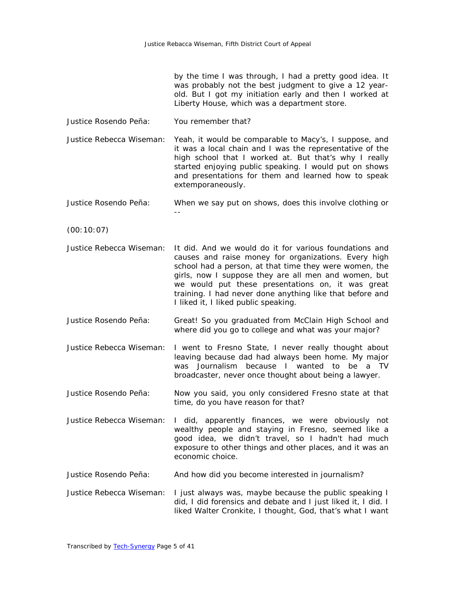by the time I was through, I had a pretty good idea. It was probably not the best judgment to give a 12 yearold. But I got my initiation early and then I worked at Liberty House, which was a department store.

- Justice Rosendo Peña: You remember that?
- Justice Rebecca Wiseman: Yeah, it would be comparable to Macy's, I suppose, and it was a local chain and I was the representative of the high school that I worked at. But that's why I really started enjoying public speaking. I would put on shows and presentations for them and learned how to speak extemporaneously.
- Justice Rosendo Peña: When we say put on shows, does this involve clothing or --
- (00:10:07)
- Justice Rebecca Wiseman: It did. And we would do it for various foundations and causes and raise money for organizations. Every high school had a person, at that time they were women, the girls, now I suppose they are all men and women, but we would put these presentations on, it was great training. I had never done anything like that before and I liked it, I liked public speaking.
- Justice Rosendo Peña: Great! So you graduated from McClain High School and where did you go to college and what was your major?
- Justice Rebecca Wiseman: I went to Fresno State, I never really thought about leaving because dad had always been home. My major was Journalism because I wanted to be a TV broadcaster, never once thought about being a lawyer.
- Justice Rosendo Peña: Now you said, you only considered Fresno state at that time, do you have reason for that?
- Justice Rebecca Wiseman: I did, apparently finances, we were obviously not wealthy people and staying in Fresno, seemed like a good idea, we didn't travel, so I hadn't had much exposure to other things and other places, and it was an economic choice.
- Justice Rosendo Peña: And how did you become interested in journalism?
- Justice Rebecca Wiseman: I just always was, maybe because the public speaking I did, I did forensics and debate and I just liked it, I did. I liked Walter Cronkite, I thought, God, that's what I want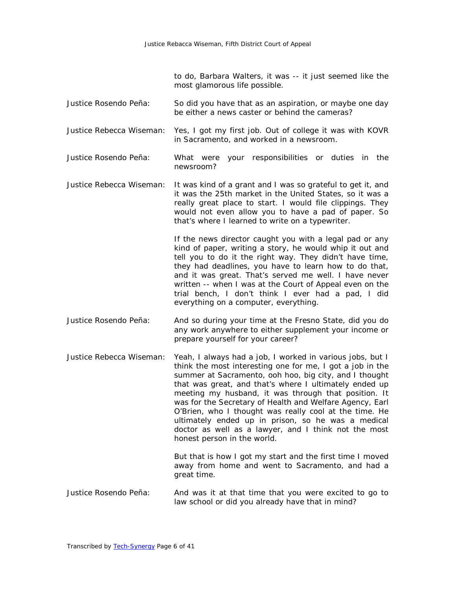to do, Barbara Walters, it was -- it just seemed like the most glamorous life possible.

- Justice Rosendo Peña: So did you have that as an aspiration, or maybe one day be either a news caster or behind the cameras?
- Justice Rebecca Wiseman: Yes, I got my first job. Out of college it was with KOVR in Sacramento, and worked in a newsroom.
- Justice Rosendo Peña: What were your responsibilities or duties in the newsroom?
- Justice Rebecca Wiseman: It was kind of a grant and I was so grateful to get it, and it was the 25th market in the United States, so it was a really great place to start. I would file clippings. They would not even allow you to have a pad of paper. So that's where I learned to write on a typewriter.

If the news director caught you with a legal pad or any kind of paper, writing a story, he would whip it out and tell you to do it the right way. They didn't have time, they had deadlines, you have to learn how to do that, and it was great. That's served me well. I have never written -- when I was at the Court of Appeal even on the trial bench, I don't think I ever had a pad, I did everything on a computer, everything.

- Justice Rosendo Peña: And so during your time at the Fresno State, did you do any work anywhere to either supplement your income or prepare yourself for your career?
- Justice Rebecca Wiseman: Yeah, I always had a job, I worked in various jobs, but I think the most interesting one for me, I got a job in the summer at Sacramento, ooh hoo, big city, and I thought that was great, and that's where I ultimately ended up meeting my husband, it was through that position. It was for the Secretary of Health and Welfare Agency, Earl O'Brien, who I thought was really cool at the time. He ultimately ended up in prison, so he was a medical doctor as well as a lawyer, and I think not the most honest person in the world.

But that is how I got my start and the first time I moved away from home and went to Sacramento, and had a great time.

Justice Rosendo Peña: And was it at that time that you were excited to go to law school or did you already have that in mind?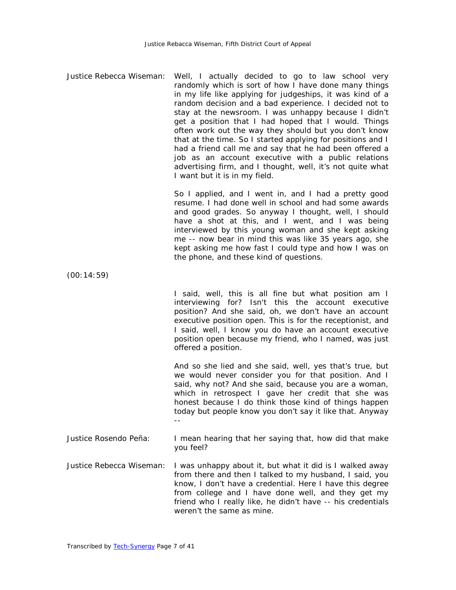Justice Rebecca Wiseman: Well, I actually decided to go to law school very randomly which is sort of how I have done many things in my life like applying for judgeships, it was kind of a random decision and a bad experience. I decided not to stay at the newsroom. I was unhappy because I didn't get a position that I had hoped that I would. Things often work out the way they should but you don't know that at the time. So I started applying for positions and I had a friend call me and say that he had been offered a job as an account executive with a public relations advertising firm, and I thought, well, it's not quite what I want but it is in my field.

> So I applied, and I went in, and I had a pretty good resume. I had done well in school and had some awards and good grades. So anyway I thought, well, I should have a shot at this, and I went, and I was being interviewed by this young woman and she kept asking me -- now bear in mind this was like 35 years ago, she kept asking me how fast I could type and how I was on the phone, and these kind of questions.

(00:14:59)

I said, well, this is all fine but what position am I interviewing for? Isn't this the account executive position? And she said, oh, we don't have an account executive position open. This is for the receptionist, and I said, well, I know you do have an account executive position open because my friend, who I named, was just offered a position.

And so she lied and she said, well, yes that's true, but we would never consider you for that position. And I said, why not? And she said, because you are a woman, which in retrospect I gave her credit that she was honest because I do think those kind of things happen today but people know you don't say it like that. Anyway --

Justice Rosendo Peña: I mean hearing that her saying that, how did that make you feel?

Justice Rebecca Wiseman: I was unhappy about it, but what it did is I walked away from there and then I talked to my husband, I said, you know, I don't have a credential. Here I have this degree from college and I have done well, and they get my friend who I really like, he didn't have -- his credentials weren't the same as mine.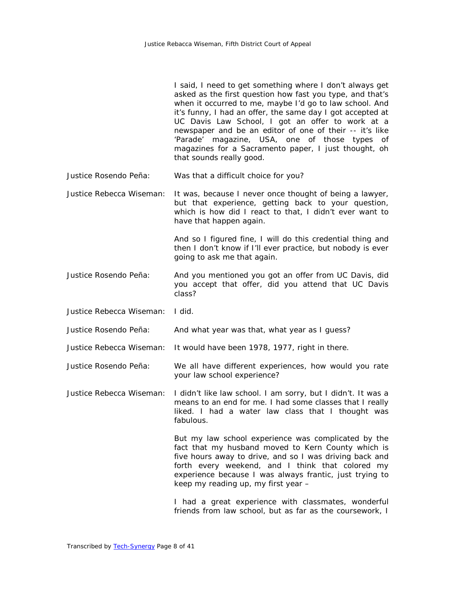|                          | I said, I need to get something where I don't always get<br>asked as the first question how fast you type, and that's<br>when it occurred to me, maybe I'd go to law school. And<br>it's funny, I had an offer, the same day I got accepted at<br>UC Davis Law School, I got an offer to work at a<br>newspaper and be an editor of one of their -- it's like<br>'Parade' magazine, USA, one of those types<br>of<br>magazines for a Sacramento paper, I just thought, oh<br>that sounds really good. |
|--------------------------|-------------------------------------------------------------------------------------------------------------------------------------------------------------------------------------------------------------------------------------------------------------------------------------------------------------------------------------------------------------------------------------------------------------------------------------------------------------------------------------------------------|
| Justice Rosendo Peña:    | Was that a difficult choice for you?                                                                                                                                                                                                                                                                                                                                                                                                                                                                  |
| Justice Rebecca Wiseman: | It was, because I never once thought of being a lawyer,<br>but that experience, getting back to your question,<br>which is how did I react to that, I didn't ever want to<br>have that happen again.                                                                                                                                                                                                                                                                                                  |
|                          | And so I figured fine, I will do this credential thing and<br>then I don't know if I'll ever practice, but nobody is ever<br>going to ask me that again.                                                                                                                                                                                                                                                                                                                                              |
| Justice Rosendo Peña:    | And you mentioned you got an offer from UC Davis, did<br>you accept that offer, did you attend that UC Davis<br>class?                                                                                                                                                                                                                                                                                                                                                                                |
| Justice Rebecca Wiseman: | I did.                                                                                                                                                                                                                                                                                                                                                                                                                                                                                                |
| Justice Rosendo Peña:    | And what year was that, what year as I guess?                                                                                                                                                                                                                                                                                                                                                                                                                                                         |
| Justice Rebecca Wiseman: | It would have been 1978, 1977, right in there.                                                                                                                                                                                                                                                                                                                                                                                                                                                        |
| Justice Rosendo Peña:    | We all have different experiences, how would you rate<br>your law school experience?                                                                                                                                                                                                                                                                                                                                                                                                                  |
| Justice Rebecca Wiseman: | I didn't like law school. I am sorry, but I didn't. It was a<br>means to an end for me. I had some classes that I really<br>liked. I had a water law class that I thought was<br>fabulous.                                                                                                                                                                                                                                                                                                            |
|                          | But my law school experience was complicated by the<br>fact that my husband moved to Kern County which is<br>five hours away to drive, and so I was driving back and<br>forth every weekend, and I think that colored my<br>experience because I was always frantic, just trying to<br>keep my reading up, my first year -                                                                                                                                                                            |
|                          | I had a great experience with classmates, wonderful<br>friends from law school, but as far as the coursework, I                                                                                                                                                                                                                                                                                                                                                                                       |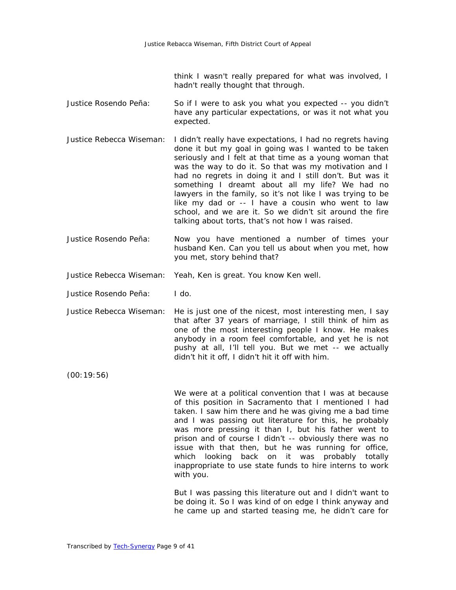think I wasn't really prepared for what was involved, I hadn't really thought that through.

- Justice Rosendo Peña: So if I were to ask you what you expected -- you didn't have any particular expectations, or was it not what you expected.
- Justice Rebecca Wiseman: I didn't really have expectations, I had no regrets having done it but my goal in going was I wanted to be taken seriously and I felt at that time as a young woman that was the way to do it. So that was my motivation and I had no regrets in doing it and I still don't. But was it something I dreamt about all my life? We had no lawyers in the family, so it's not like I was trying to be like my dad or -- I have a cousin who went to law school, and we are it. So we didn't sit around the fire talking about torts, that's not how I was raised.
- Justice Rosendo Peña: Now you have mentioned a number of times your husband Ken. Can you tell us about when you met, how you met, story behind that?
- Justice Rebecca Wiseman: Yeah, Ken is great. You know Ken well.
- Justice Rosendo Peña: I do.
- Justice Rebecca Wiseman: He is just one of the nicest, most interesting men, I say that after 37 years of marriage, I still think of him as one of the most interesting people I know. He makes anybody in a room feel comfortable, and yet he is not pushy at all, I'll tell you. But we met -- we actually didn't hit it off, I didn't hit it off with him.

(00:19:56)

We were at a political convention that I was at because of this position in Sacramento that I mentioned I had taken. I saw him there and he was giving me a bad time and I was passing out literature for this, he probably was more pressing it than I, but his father went to prison and of course I didn't -- obviously there was no issue with that then, but he was running for office, which looking back on it was probably totally inappropriate to use state funds to hire interns to work with you.

But I was passing this literature out and I didn't want to be doing it. So I was kind of on edge I think anyway and he came up and started teasing me, he didn't care for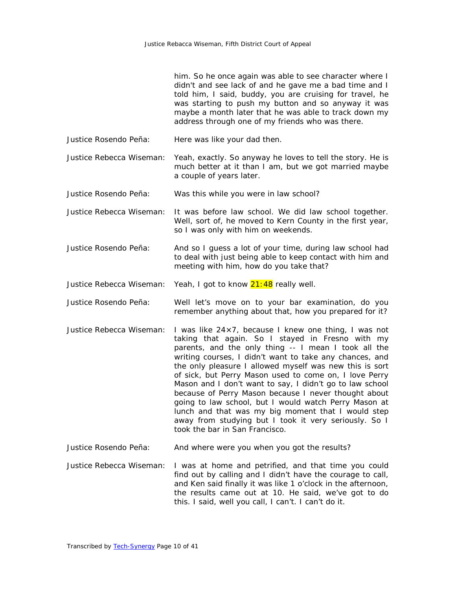|                          | him. So he once again was able to see character where I<br>didn't and see lack of and he gave me a bad time and I<br>told him, I said, buddy, you are cruising for travel, he<br>was starting to push my button and so anyway it was<br>maybe a month later that he was able to track down my<br>address through one of my friends who was there.                                                                                                                                                                                      |
|--------------------------|----------------------------------------------------------------------------------------------------------------------------------------------------------------------------------------------------------------------------------------------------------------------------------------------------------------------------------------------------------------------------------------------------------------------------------------------------------------------------------------------------------------------------------------|
| Justice Rosendo Peña:    | Here was like your dad then.                                                                                                                                                                                                                                                                                                                                                                                                                                                                                                           |
| Justice Rebecca Wiseman: | Yeah, exactly. So anyway he loves to tell the story. He is<br>much better at it than I am, but we got married maybe<br>a couple of years later.                                                                                                                                                                                                                                                                                                                                                                                        |
| Justice Rosendo Peña:    | Was this while you were in law school?                                                                                                                                                                                                                                                                                                                                                                                                                                                                                                 |
| Justice Rebecca Wiseman: | It was before law school. We did law school together.<br>Well, sort of, he moved to Kern County in the first year,<br>so I was only with him on weekends.                                                                                                                                                                                                                                                                                                                                                                              |
| Justice Rosendo Peña:    | And so I guess a lot of your time, during law school had<br>to deal with just being able to keep contact with him and<br>meeting with him, how do you take that?                                                                                                                                                                                                                                                                                                                                                                       |
| Justice Rebecca Wiseman: | Yeah, I got to know 21:48 really well.                                                                                                                                                                                                                                                                                                                                                                                                                                                                                                 |
| Justice Rosendo Peña:    | Well let's move on to your bar examination, do you<br>remember anything about that, how you prepared for it?                                                                                                                                                                                                                                                                                                                                                                                                                           |
| Justice Rebecca Wiseman: | I was like $24 \times 7$ , because I knew one thing, I was not<br>taking that again. So I stayed in Fresno with my<br>parents, and the only thing -- I mean I took all the<br>writing courses, I didn't want to take any chances, and<br>the only pleasure I allowed myself was new this is sort<br>of sick, but Perry Mason used to come on, I love Perry<br>Mason and I don't want to say, I didn't go to law school<br>because of Perry Mason because I never thought about<br>aoing to low school but I would watch Dorry Mason at |

going to law school, but I would watch Perry Mason at lunch and that was my big moment that I would step away from studying but I took it very seriously. So I took the bar in San Francisco.

Justice Rosendo Peña: And where were you when you got the results?

Justice Rebecca Wiseman: I was at home and petrified, and that time you could find out by calling and I didn't have the courage to call, and Ken said finally it was like 1 o'clock in the afternoon, the results came out at 10. He said, we've got to do this. I said, well you call, I can't. I can't do it.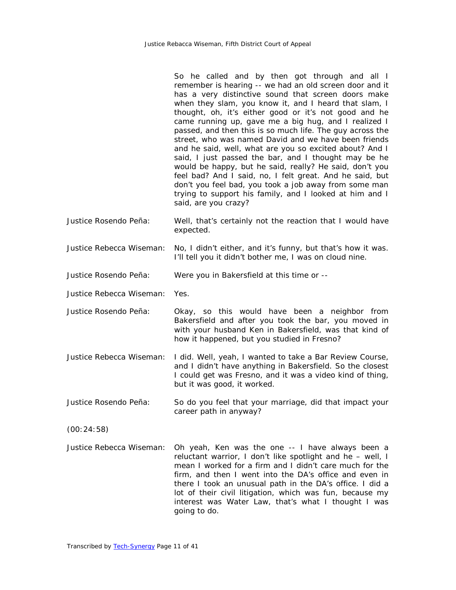So he called and by then got through and all I remember is hearing -- we had an old screen door and it has a very distinctive sound that screen doors make when they slam, you know it, and I heard that slam, I thought, oh, it's either good or it's not good and he came running up, gave me a big hug, and I realized I passed, and then this is so much life. The guy across the street, who was named David and we have been friends and he said, well, what are you so excited about? And I said, I just passed the bar, and I thought may be he would be happy, but he said, really? He said, don't you feel bad? And I said, no, I felt great. And he said, but don't you feel bad, you took a job away from some man trying to support his family, and I looked at him and I said, are you crazy?

- Justice Rosendo Peña: Well, that's certainly not the reaction that I would have expected.
- Justice Rebecca Wiseman: No, I didn't either, and it's funny, but that's how it was. I'll tell you it didn't bother me, I was on cloud nine.

Justice Rosendo Peña: Were you in Bakersfield at this time or --

Justice Rebecca Wiseman: Yes.

- Justice Rosendo Peña: Okay, so this would have been a neighbor from Bakersfield and after you took the bar, you moved in with your husband Ken in Bakersfield, was that kind of how it happened, but you studied in Fresno?
- Justice Rebecca Wiseman: I did. Well, yeah, I wanted to take a Bar Review Course, and I didn't have anything in Bakersfield. So the closest I could get was Fresno, and it was a video kind of thing, but it was good, it worked.
- Justice Rosendo Peña: So do you feel that your marriage, did that impact your career path in anyway?

(00:24:58)

Justice Rebecca Wiseman: Oh yeah, Ken was the one -- I have always been a reluctant warrior, I don't like spotlight and he – well, I mean I worked for a firm and I didn't care much for the firm, and then I went into the DA's office and even in there I took an unusual path in the DA's office. I did a lot of their civil litigation, which was fun, because my interest was Water Law, that's what I thought I was going to do.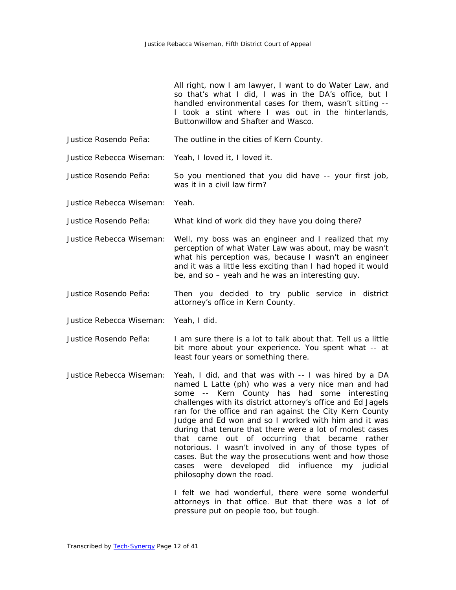|                          | All right, now I am lawyer, I want to do Water Law, and<br>so that's what I did, I was in the DA's office, but I<br>handled environmental cases for them, wasn't sitting --<br>I took a stint where I was out in the hinterlands,<br>Buttonwillow and Shafter and Wasco.                                                                                                                                                                                                                                                                                                                                                                                         |
|--------------------------|------------------------------------------------------------------------------------------------------------------------------------------------------------------------------------------------------------------------------------------------------------------------------------------------------------------------------------------------------------------------------------------------------------------------------------------------------------------------------------------------------------------------------------------------------------------------------------------------------------------------------------------------------------------|
| Justice Rosendo Peña:    | The outline in the cities of Kern County.                                                                                                                                                                                                                                                                                                                                                                                                                                                                                                                                                                                                                        |
| Justice Rebecca Wiseman: | Yeah, I loved it, I loved it.                                                                                                                                                                                                                                                                                                                                                                                                                                                                                                                                                                                                                                    |
| Justice Rosendo Peña:    | So you mentioned that you did have -- your first job,<br>was it in a civil law firm?                                                                                                                                                                                                                                                                                                                                                                                                                                                                                                                                                                             |
| Justice Rebecca Wiseman: | Yeah.                                                                                                                                                                                                                                                                                                                                                                                                                                                                                                                                                                                                                                                            |
| Justice Rosendo Peña:    | What kind of work did they have you doing there?                                                                                                                                                                                                                                                                                                                                                                                                                                                                                                                                                                                                                 |
| Justice Rebecca Wiseman: | Well, my boss was an engineer and I realized that my<br>perception of what Water Law was about, may be wasn't<br>what his perception was, because I wasn't an engineer<br>and it was a little less exciting than I had hoped it would<br>be, and so – yeah and he was an interesting guy.                                                                                                                                                                                                                                                                                                                                                                        |
| Justice Rosendo Peña:    | Then you decided to try public service in district<br>attorney's office in Kern County.                                                                                                                                                                                                                                                                                                                                                                                                                                                                                                                                                                          |
| Justice Rebecca Wiseman: | Yeah, I did.                                                                                                                                                                                                                                                                                                                                                                                                                                                                                                                                                                                                                                                     |
| Justice Rosendo Peña:    | I am sure there is a lot to talk about that. Tell us a little<br>bit more about your experience. You spent what -- at<br>least four years or something there.                                                                                                                                                                                                                                                                                                                                                                                                                                                                                                    |
| Justice Rebecca Wiseman: | Yeah, I did, and that was with -- I was hired by a DA<br>named L Latte (ph) who was a very nice man and had<br>some -- Kern County has had some interesting<br>challenges with its district attorney's office and Ed Jagels<br>ran for the office and ran against the City Kern County<br>Judge and Ed won and so I worked with him and it was<br>during that tenure that there were a lot of molest cases<br>that came out of occurring that became rather<br>notorious. I wasn't involved in any of those types of<br>cases. But the way the prosecutions went and how those<br>cases were developed did influence<br>my judicial<br>philosophy down the road. |
|                          | I felt we had wonderful, there were some wonderful                                                                                                                                                                                                                                                                                                                                                                                                                                                                                                                                                                                                               |

attorneys in that office. But that there was a lot of pressure put on people too, but tough.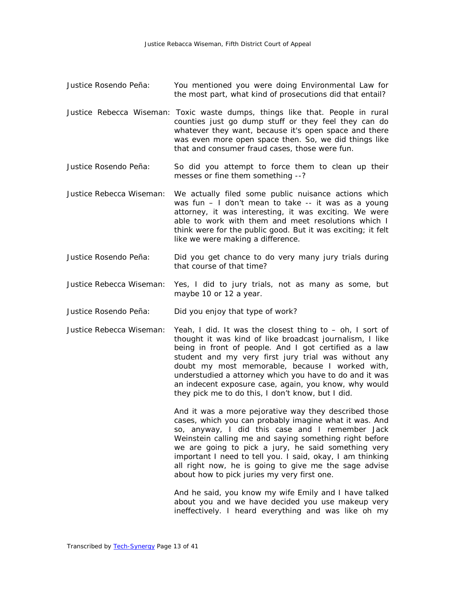- Justice Rosendo Peña: You mentioned you were doing Environmental Law for the most part, what kind of prosecutions did that entail?
- Justice Rebecca Wiseman: Toxic waste dumps, things like that. People in rural counties just go dump stuff or they feel they can do whatever they want, because it's open space and there was even more open space then. So, we did things like that and consumer fraud cases, those were fun.
- Justice Rosendo Peña: So did you attempt to force them to clean up their messes or fine them something --?
- Justice Rebecca Wiseman: We actually filed some public nuisance actions which was fun – I don't mean to take -- it was as a young attorney, it was interesting, it was exciting. We were able to work with them and meet resolutions which I think were for the public good. But it was exciting; it felt like we were making a difference.
- Justice Rosendo Peña: Did you get chance to do very many jury trials during that course of that time?
- Justice Rebecca Wiseman: Yes, I did to jury trials, not as many as some, but maybe 10 or 12 a year.
- Justice Rosendo Peña: Did you enjoy that type of work?
- Justice Rebecca Wiseman: Yeah, I did. It was the closest thing to oh, I sort of thought it was kind of like broadcast journalism, I like being in front of people. And I got certified as a law student and my very first jury trial was without any doubt my most memorable, because I worked with, understudied a attorney which you have to do and it was an indecent exposure case, again, you know, why would they pick me to do this, I don't know, but I did.

And it was a more pejorative way they described those cases, which you can probably imagine what it was. And so, anyway, I did this case and I remember Jack Weinstein calling me and saying something right before we are going to pick a jury, he said something very important I need to tell you. I said, okay, I am thinking all right now, he is going to give me the sage advise about how to pick juries my very first one.

And he said, you know my wife Emily and I have talked about you and we have decided you use makeup very ineffectively. I heard everything and was like oh my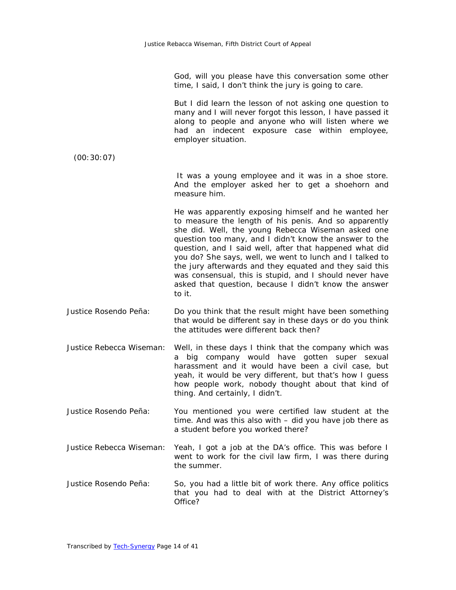God, will you please have this conversation some other time, I said, I don't think the jury is going to care.

But I did learn the lesson of not asking one question to many and I will never forgot this lesson, I have passed it along to people and anyone who will listen where we had an indecent exposure case within employee, employer situation.

asked that question, because I didn't know the answer

(00:30:07) It was a young employee and it was in a shoe store. And the employer asked her to get a shoehorn and measure him. He was apparently exposing himself and he wanted her to measure the length of his penis. And so apparently she did. Well, the young Rebecca Wiseman asked one question too many, and I didn't know the answer to the question, and I said well, after that happened what did you do? She says, well, we went to lunch and I talked to the jury afterwards and they equated and they said this was consensual, this is stupid, and I should never have

Justice Rosendo Peña: Do you think that the result might have been something that would be different say in these days or do you think the attitudes were different back then?

to it.

- Justice Rebecca Wiseman: Well, in these days I think that the company which was a big company would have gotten super sexual harassment and it would have been a civil case, but yeah, it would be very different, but that's how I guess how people work, nobody thought about that kind of thing. And certainly, I didn't.
- Justice Rosendo Peña: You mentioned you were certified law student at the time. And was this also with – did you have job there as a student before you worked there?
- Justice Rebecca Wiseman: Yeah, I got a job at the DA's office. This was before I went to work for the civil law firm, I was there during the summer.
- Justice Rosendo Peña: So, you had a little bit of work there. Any office politics that you had to deal with at the District Attorney's Office?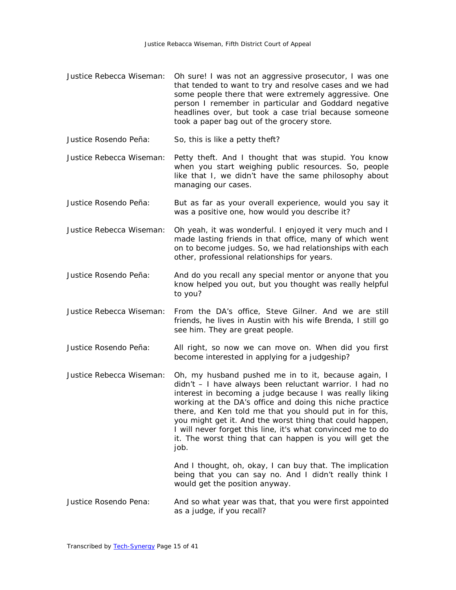- Justice Rebecca Wiseman: Oh sure! I was not an aggressive prosecutor, I was one that tended to want to try and resolve cases and we had some people there that were extremely aggressive. One person I remember in particular and Goddard negative headlines over, but took a case trial because someone took a paper bag out of the grocery store.
- Justice Rosendo Peña: So, this is like a petty theft?
- Justice Rebecca Wiseman: Petty theft. And I thought that was stupid. You know when you start weighing public resources. So, people like that I, we didn't have the same philosophy about managing our cases.
- Justice Rosendo Peña: But as far as your overall experience, would you say it was a positive one, how would you describe it?
- Justice Rebecca Wiseman: Oh yeah, it was wonderful. I enjoyed it very much and I made lasting friends in that office, many of which went on to become judges. So, we had relationships with each other, professional relationships for years.
- Justice Rosendo Peña: And do you recall any special mentor or anyone that you know helped you out, but you thought was really helpful to you?
- Justice Rebecca Wiseman: From the DA's office, Steve Gilner. And we are still friends, he lives in Austin with his wife Brenda, I still go see him. They are great people.
- Justice Rosendo Peña: All right, so now we can move on. When did you first become interested in applying for a judgeship?
- Justice Rebecca Wiseman: Oh, my husband pushed me in to it, because again, I didn't – I have always been reluctant warrior. I had no interest in becoming a judge because I was really liking working at the DA's office and doing this niche practice there, and Ken told me that you should put in for this, you might get it. And the worst thing that could happen, I will never forget this line, it's what convinced me to do it. The worst thing that can happen is you will get the job.

And I thought, oh, okay, I can buy that. The implication being that you can say no. And I didn't really think I would get the position anyway.

Justice Rosendo Pena: And so what year was that, that you were first appointed as a judge, if you recall?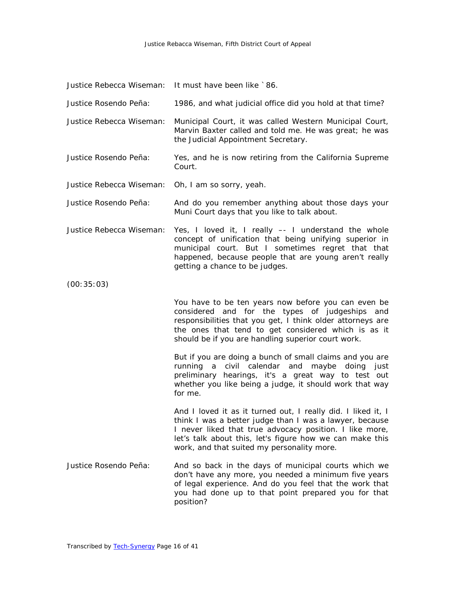|                          | Justice Rebecca Wiseman: It must have been like `86.                                                                                                                                                                                                                                         |
|--------------------------|----------------------------------------------------------------------------------------------------------------------------------------------------------------------------------------------------------------------------------------------------------------------------------------------|
| Justice Rosendo Peña:    | 1986, and what judicial office did you hold at that time?                                                                                                                                                                                                                                    |
| Justice Rebecca Wiseman: | Municipal Court, it was called Western Municipal Court,<br>Marvin Baxter called and told me. He was great; he was<br>the Judicial Appointment Secretary.                                                                                                                                     |
| Justice Rosendo Peña:    | Yes, and he is now retiring from the California Supreme<br>Court.                                                                                                                                                                                                                            |
| Justice Rebecca Wiseman: | Oh, I am so sorry, yeah.                                                                                                                                                                                                                                                                     |
| Justice Rosendo Peña:    | And do you remember anything about those days your<br>Muni Court days that you like to talk about.                                                                                                                                                                                           |
| Justice Rebecca Wiseman: | Yes, I loved it, I really -- I understand the whole<br>concept of unification that being unifying superior in<br>municipal court. But I sometimes regret that that<br>happened, because people that are young aren't really<br>getting a chance to be judges.                                |
| (00:35:03)               |                                                                                                                                                                                                                                                                                              |
|                          | You have to be ten years now before you can even be<br>considered and for the types of judgeships<br>and<br>responsibilities that you get, I think older attorneys are<br>the ones that tend to get considered which is as it<br>should be if you are handling superior court work.          |
|                          | But if you are doing a bunch of small claims and you are<br>running a civil calendar and maybe<br>doing just<br>preliminary hearings, it's a great way to test out<br>whether you like being a judge, it should work that way<br>for me.                                                     |
|                          | And I loved it as it turned out, I really did. I liked it, I<br>think I was a better judge than I was a lawyer, because<br>I never liked that true advocacy position. I like more,<br>let's talk about this, let's figure how we can make this<br>work, and that suited my personality more. |
| Justice Rosendo Peña:    | And so back in the days of municipal courts which we<br>don't have any more, you needed a minimum five years<br>of legal experience. And do you feel that the work that<br>you had done up to that point prepared you for that<br>position?                                                  |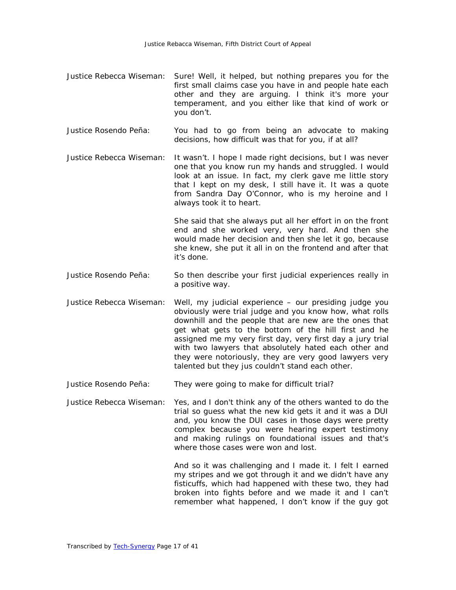- Justice Rebecca Wiseman: Sure! Well, it helped, but nothing prepares you for the first small claims case you have in and people hate each other and they are arguing. I think it's more your temperament, and you either like that kind of work or you don't.
- Justice Rosendo Peña: You had to go from being an advocate to making decisions, how difficult was that for you, if at all?

Justice Rebecca Wiseman: It wasn't. I hope I made right decisions, but I was never one that you know run my hands and struggled. I would look at an issue. In fact, my clerk gave me little story that I kept on my desk, I still have it. It was a quote from Sandra Day O'Connor, who is my heroine and I always took it to heart.

> She said that she always put all her effort in on the front end and she worked very, very hard. And then she would made her decision and then she let it go, because she knew, she put it all in on the frontend and after that it's done.

- Justice Rosendo Peña: So then describe your first judicial experiences really in a positive way.
- Justice Rebecca Wiseman: Well, my judicial experience our presiding judge you obviously were trial judge and you know how, what rolls downhill and the people that are new are the ones that get what gets to the bottom of the hill first and he assigned me my very first day, very first day a jury trial with two lawyers that absolutely hated each other and they were notoriously, they are very good lawyers very talented but they jus couldn't stand each other.
- Justice Rosendo Peña: They were going to make for difficult trial?
- Justice Rebecca Wiseman: Yes, and I don't think any of the others wanted to do the trial so guess what the new kid gets it and it was a DUI and, you know the DUI cases in those days were pretty complex because you were hearing expert testimony and making rulings on foundational issues and that's where those cases were won and lost.

And so it was challenging and I made it. I felt I earned my stripes and we got through it and we didn't have any fisticuffs, which had happened with these two, they had broken into fights before and we made it and I can't remember what happened, I don't know if the guy got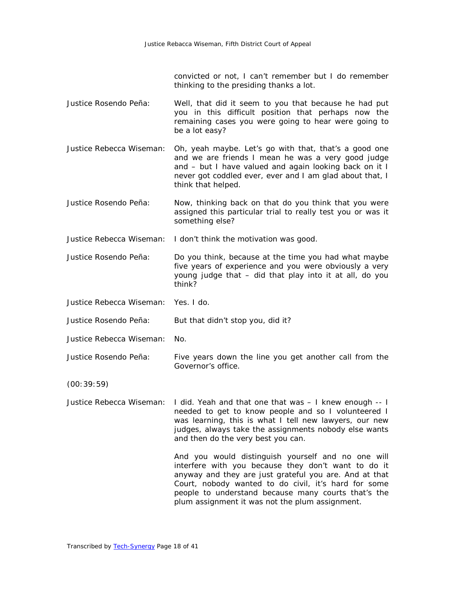convicted or not, I can't remember but I do remember thinking to the presiding thanks a lot.

- Justice Rosendo Peña: Well, that did it seem to you that because he had put you in this difficult position that perhaps now the remaining cases you were going to hear were going to be a lot easy?
- Justice Rebecca Wiseman: Oh, yeah maybe. Let's go with that, that's a good one and we are friends I mean he was a very good judge and – but I have valued and again looking back on it I never got coddled ever, ever and I am glad about that, I think that helped.
- Justice Rosendo Peña: Now, thinking back on that do you think that you were assigned this particular trial to really test you or was it something else?

Justice Rebecca Wiseman: I don't think the motivation was good.

- Justice Rosendo Peña: Do you think, because at the time you had what maybe five years of experience and you were obviously a very young judge that – did that play into it at all, do you think?
- Justice Rebecca Wiseman: Yes. I do.

Justice Rosendo Peña: But that didn't stop you, did it?

- Justice Rebecca Wiseman: No.
- Justice Rosendo Peña: Five years down the line you get another call from the Governor's office.

(00:39:59)

Justice Rebecca Wiseman: I did. Yeah and that one that was – I knew enough -- I needed to get to know people and so I volunteered I was learning, this is what I tell new lawyers, our new judges, always take the assignments nobody else wants and then do the very best you can.

> And you would distinguish yourself and no one will interfere with you because they don't want to do it anyway and they are just grateful you are. And at that Court, nobody wanted to do civil, it's hard for some people to understand because many courts that's the plum assignment it was not the plum assignment.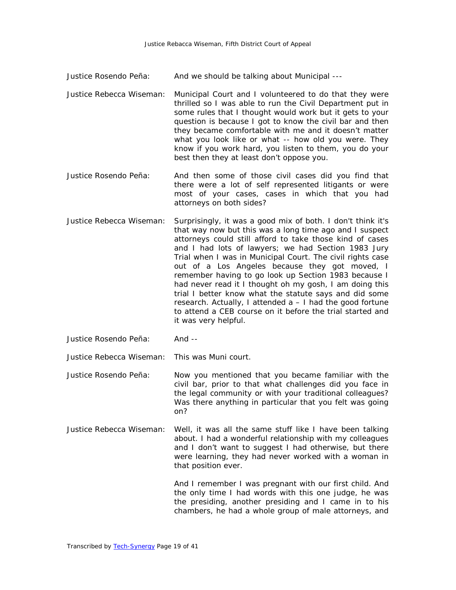- Justice Rosendo Peña: And we should be talking about Municipal ---
- Justice Rebecca Wiseman: Municipal Court and I volunteered to do that they were thrilled so I was able to run the Civil Department put in some rules that I thought would work but it gets to your question is because I got to know the civil bar and then they became comfortable with me and it doesn't matter what you look like or what -- how old you were. They know if you work hard, you listen to them, you do your best then they at least don't oppose you.
- Justice Rosendo Peña: And then some of those civil cases did you find that there were a lot of self represented litigants or were most of your cases, cases in which that you had attorneys on both sides?
- Justice Rebecca Wiseman: Surprisingly, it was a good mix of both. I don't think it's that way now but this was a long time ago and I suspect attorneys could still afford to take those kind of cases and I had lots of lawyers; we had Section 1983 Jury Trial when I was in Municipal Court. The civil rights case out of a Los Angeles because they got moved, I remember having to go look up Section 1983 because I had never read it I thought oh my gosh, I am doing this trial I better know what the statute says and did some research. Actually, I attended a – I had the good fortune to attend a CEB course on it before the trial started and it was very helpful.
- Justice Rosendo Peña: And --

Justice Rebecca Wiseman: This was Muni court.

- Justice Rosendo Peña: Now you mentioned that you became familiar with the civil bar, prior to that what challenges did you face in the legal community or with your traditional colleagues? Was there anything in particular that you felt was going on?
- Justice Rebecca Wiseman: Well, it was all the same stuff like I have been talking about. I had a wonderful relationship with my colleagues and I don't want to suggest I had otherwise, but there were learning, they had never worked with a woman in that position ever.

And I remember I was pregnant with our first child. And the only time I had words with this one judge, he was the presiding, another presiding and I came in to his chambers, he had a whole group of male attorneys, and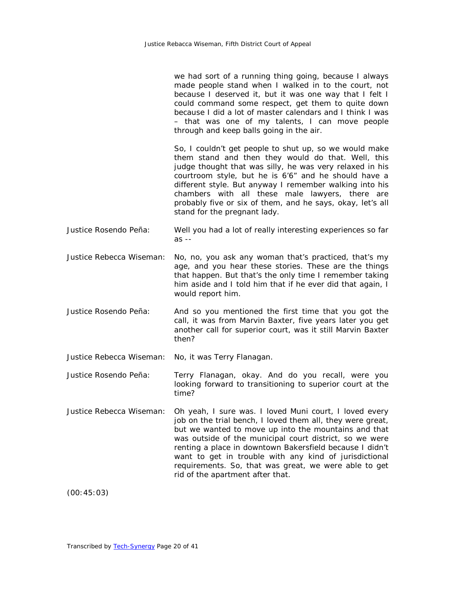| we had sort of a running thing going, because I always    |  |  |  |  |
|-----------------------------------------------------------|--|--|--|--|
| made people stand when I walked in to the court, not      |  |  |  |  |
| because I deserved it, but it was one way that I felt I   |  |  |  |  |
| could command some respect, get them to quite down        |  |  |  |  |
| because I did a lot of master calendars and I think I was |  |  |  |  |
| - that was one of my talents, I can move people           |  |  |  |  |
| through and keep balls going in the air.                  |  |  |  |  |

So, I couldn't get people to shut up, so we would make them stand and then they would do that. Well, this judge thought that was silly, he was very relaxed in his courtroom style, but he is 6'6" and he should have a different style. But anyway I remember walking into his chambers with all these male lawyers, there are probably five or six of them, and he says, okay, let's all stand for the pregnant lady.

Justice Rosendo Peña: Well you had a lot of really interesting experiences so far as --

Justice Rebecca Wiseman: No, no, you ask any woman that's practiced, that's my age, and you hear these stories. These are the things that happen. But that's the only time I remember taking him aside and I told him that if he ever did that again, I would report him.

Justice Rosendo Peña: And so you mentioned the first time that you got the call, it was from Marvin Baxter, five years later you get another call for superior court, was it still Marvin Baxter then?

Justice Rebecca Wiseman: No, it was Terry Flanagan.

- Justice Rosendo Peña: Terry Flanagan, okay. And do you recall, were you looking forward to transitioning to superior court at the time?
- Justice Rebecca Wiseman: Oh yeah, I sure was. I loved Muni court, I loved every job on the trial bench, I loved them all, they were great, but we wanted to move up into the mountains and that was outside of the municipal court district, so we were renting a place in downtown Bakersfield because I didn't want to get in trouble with any kind of jurisdictional requirements. So, that was great, we were able to get rid of the apartment after that.

(00:45:03)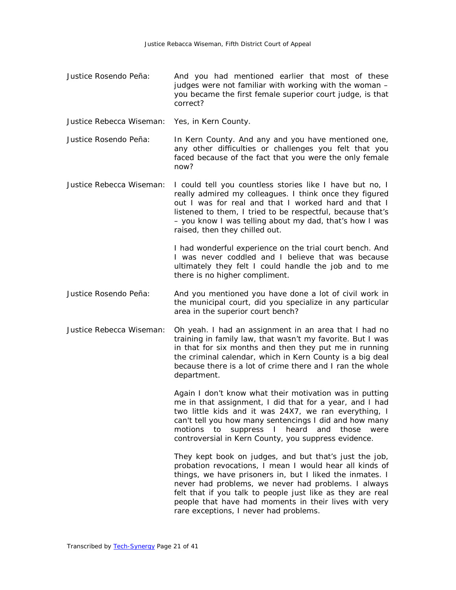- Justice Rosendo Peña: And you had mentioned earlier that most of these judges were not familiar with working with the woman you became the first female superior court judge, is that correct?
- Justice Rebecca Wiseman: Yes, in Kern County.

Justice Rosendo Peña: In Kern County. And any and you have mentioned one, any other difficulties or challenges you felt that you faced because of the fact that you were the only female now?

Justice Rebecca Wiseman: I could tell you countless stories like I have but no, I really admired my colleagues. I think once they figured out I was for real and that I worked hard and that I listened to them, I tried to be respectful, because that's – you know I was telling about my dad, that's how I was raised, then they chilled out.

> I had wonderful experience on the trial court bench. And I was never coddled and I believe that was because ultimately they felt I could handle the job and to me there is no higher compliment.

- Justice Rosendo Peña: And you mentioned you have done a lot of civil work in the municipal court, did you specialize in any particular area in the superior court bench?
- Justice Rebecca Wiseman: Oh yeah. I had an assignment in an area that I had no training in family law, that wasn't my favorite. But I was in that for six months and then they put me in running the criminal calendar, which in Kern County is a big deal because there is a lot of crime there and I ran the whole department.

Again I don't know what their motivation was in putting me in that assignment, I did that for a year, and I had two little kids and it was 24X7, we ran everything, I can't tell you how many sentencings I did and how many motions to suppress I heard and those were controversial in Kern County, you suppress evidence.

They kept book on judges, and but that's just the job, probation revocations, I mean I would hear all kinds of things, we have prisoners in, but I liked the inmates. I never had problems, we never had problems. I always felt that if you talk to people just like as they are real people that have had moments in their lives with very rare exceptions, I never had problems.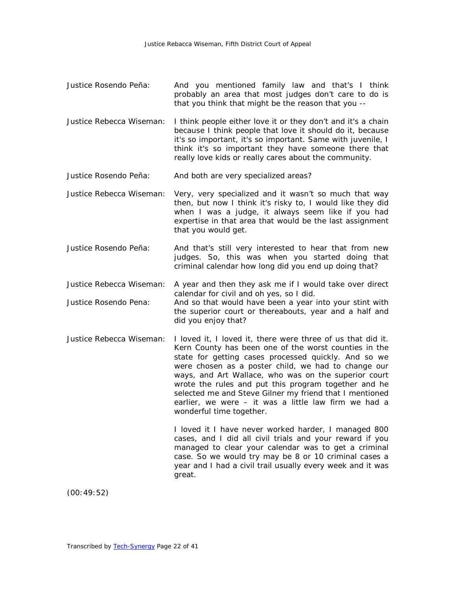- Justice Rosendo Peña: And you mentioned family law and that's I think probably an area that most judges don't care to do is that you think that might be the reason that you --
- Justice Rebecca Wiseman: I think people either love it or they don't and it's a chain because I think people that love it should do it, because it's so important, it's so important. Same with juvenile, I think it's so important they have someone there that really love kids or really cares about the community.
- Justice Rosendo Peña: And both are very specialized areas?
- Justice Rebecca Wiseman: Very, very specialized and it wasn't so much that way then, but now I think it's risky to, I would like they did when I was a judge, it always seem like if you had expertise in that area that would be the last assignment that you would get.
- Justice Rosendo Peña: And that's still very interested to hear that from new judges. So, this was when you started doing that criminal calendar how long did you end up doing that?
- Justice Rebecca Wiseman: A year and then they ask me if I would take over direct calendar for civil and oh yes, so I did.
- Justice Rosendo Pena: And so that would have been a year into your stint with the superior court or thereabouts, year and a half and did you enjoy that?
- Justice Rebecca Wiseman: I loved it, I loved it, there were three of us that did it. Kern County has been one of the worst counties in the state for getting cases processed quickly. And so we were chosen as a poster child, we had to change our ways, and Art Wallace, who was on the superior court wrote the rules and put this program together and he selected me and Steve Gilner my friend that I mentioned earlier, we were – it was a little law firm we had a wonderful time together.

I loved it I have never worked harder, I managed 800 cases, and I did all civil trials and your reward if you managed to clear your calendar was to get a criminal case. So we would try may be 8 or 10 criminal cases a year and I had a civil trail usually every week and it was great.

(00:49:52)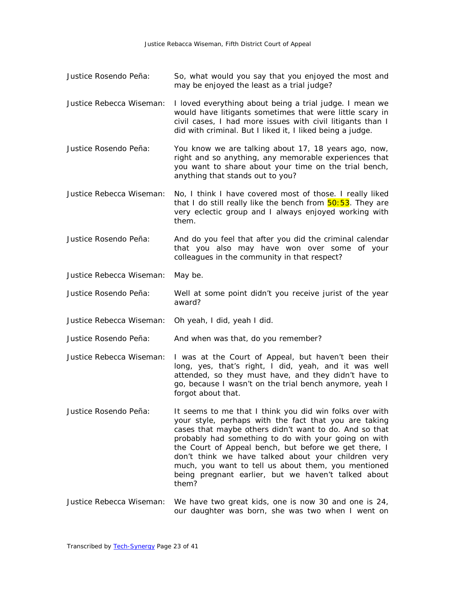- Justice Rosendo Peña: So, what would you say that you enjoyed the most and may be enjoyed the least as a trial judge?
- Justice Rebecca Wiseman: I loved everything about being a trial judge. I mean we would have litigants sometimes that were little scary in civil cases, I had more issues with civil litigants than I did with criminal. But I liked it, I liked being a judge.
- Justice Rosendo Peña: You know we are talking about 17, 18 years ago, now, right and so anything, any memorable experiences that you want to share about your time on the trial bench, anything that stands out to you?
- Justice Rebecca Wiseman: No, I think I have covered most of those. I really liked that I do still really like the bench from  $50:53$ . They are very eclectic group and I always enjoyed working with them.
- Justice Rosendo Peña: And do you feel that after you did the criminal calendar that you also may have won over some of your colleagues in the community in that respect?
- Justice Rebecca Wiseman: May be.
- Justice Rosendo Peña: Well at some point didn't you receive jurist of the year award?
- Justice Rebecca Wiseman: Oh yeah, I did, yeah I did.
- Justice Rosendo Peña: And when was that, do you remember?
- Justice Rebecca Wiseman: I was at the Court of Appeal, but haven't been their long, yes, that's right, I did, yeah, and it was well attended, so they must have, and they didn't have to go, because I wasn't on the trial bench anymore, yeah I forgot about that.
- Justice Rosendo Peña: It seems to me that I think you did win folks over with your style, perhaps with the fact that you are taking cases that maybe others didn't want to do. And so that probably had something to do with your going on with the Court of Appeal bench, but before we get there, I don't think we have talked about your children very much, you want to tell us about them, you mentioned being pregnant earlier, but we haven't talked about them?
- Justice Rebecca Wiseman: We have two great kids, one is now 30 and one is 24, our daughter was born, she was two when I went on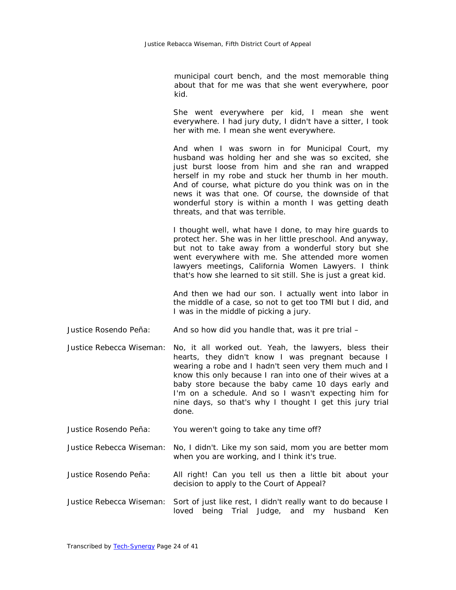municipal court bench, and the most memorable thing about that for me was that she went everywhere, poor kid.

She went everywhere per kid, I mean she went everywhere. I had jury duty, I didn't have a sitter, I took her with me. I mean she went everywhere.

And when I was sworn in for Municipal Court, my husband was holding her and she was so excited, she just burst loose from him and she ran and wrapped herself in my robe and stuck her thumb in her mouth. And of course, what picture do you think was on in the news it was that one. Of course, the downside of that wonderful story is within a month I was getting death threats, and that was terrible.

I thought well, what have I done, to may hire guards to protect her. She was in her little preschool. And anyway, but not to take away from a wonderful story but she went everywhere with me. She attended more women lawyers meetings, California Women Lawyers. I think that's how she learned to sit still. She is just a great kid.

And then we had our son. I actually went into labor in the middle of a case, so not to get too TMI but I did, and I was in the middle of picking a jury.

- Justice Rosendo Peña: And so how did you handle that, was it pre trial –
- Justice Rebecca Wiseman: No, it all worked out. Yeah, the lawyers, bless their hearts, they didn't know I was pregnant because I wearing a robe and I hadn't seen very them much and I know this only because I ran into one of their wives at a baby store because the baby came 10 days early and I'm on a schedule. And so I wasn't expecting him for nine days, so that's why I thought I get this jury trial done.
- Justice Rosendo Peña: You weren't going to take any time off?
- Justice Rebecca Wiseman: No, I didn't. Like my son said, mom you are better mom when you are working, and I think it's true.
- Justice Rosendo Peña: All right! Can you tell us then a little bit about your decision to apply to the Court of Appeal?
- Justice Rebecca Wiseman: Sort of just like rest, I didn't really want to do because I loved being Trial Judge, and my husband Ken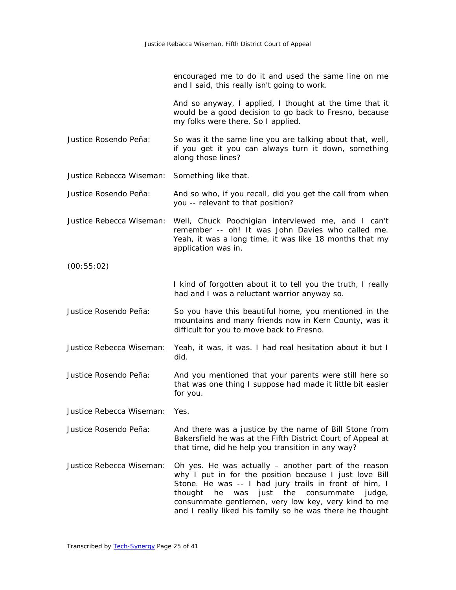encouraged me to do it and used the same line on me and I said, this really isn't going to work.

And so anyway, I applied, I thought at the time that it would be a good decision to go back to Fresno, because my folks were there. So I applied.

- Justice Rosendo Peña: So was it the same line you are talking about that, well, if you get it you can always turn it down, something along those lines?
- Justice Rebecca Wiseman: Something like that.
- Justice Rosendo Peña: And so who, if you recall, did you get the call from when you -- relevant to that position?
- Justice Rebecca Wiseman: Well, Chuck Poochigian interviewed me, and I can't remember -- oh! It was John Davies who called me. Yeah, it was a long time, it was like 18 months that my application was in.

(00:55:02)

I kind of forgotten about it to tell you the truth, I really had and I was a reluctant warrior anyway so.

- Justice Rosendo Peña: So you have this beautiful home, you mentioned in the mountains and many friends now in Kern County, was it difficult for you to move back to Fresno.
- Justice Rebecca Wiseman: Yeah, it was, it was. I had real hesitation about it but I did.
- Justice Rosendo Peña: And you mentioned that your parents were still here so that was one thing I suppose had made it little bit easier for you.

Justice Rebecca Wiseman: Yes.

- Justice Rosendo Peña: And there was a justice by the name of Bill Stone from Bakersfield he was at the Fifth District Court of Appeal at that time, did he help you transition in any way?
- Justice Rebecca Wiseman: Oh yes. He was actually another part of the reason why I put in for the position because I just love Bill Stone. He was -- I had jury trails in front of him, I thought he was just the consummate judge, consummate gentlemen, very low key, very kind to me and I really liked his family so he was there he thought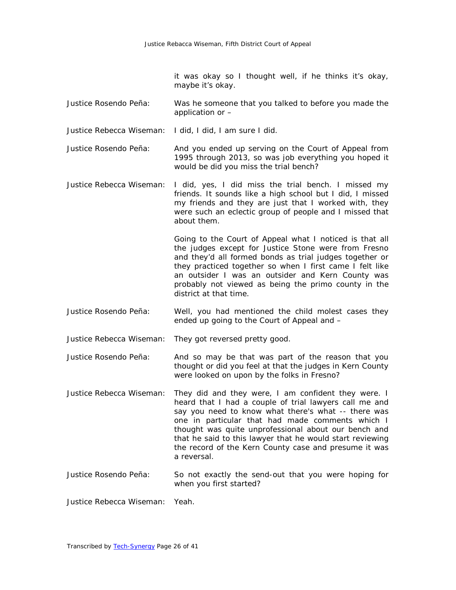it was okay so I thought well, if he thinks it's okay, maybe it's okay.

- Justice Rosendo Peña: Was he someone that you talked to before you made the application or –
- Justice Rebecca Wiseman: I did, I did, I am sure I did.

Justice Rosendo Peña: And you ended up serving on the Court of Appeal from 1995 through 2013, so was job everything you hoped it would be did you miss the trial bench?

Justice Rebecca Wiseman: I did, yes, I did miss the trial bench. I missed my friends. It sounds like a high school but I did, I missed my friends and they are just that I worked with, they were such an eclectic group of people and I missed that about them.

> Going to the Court of Appeal what I noticed is that all the judges except for Justice Stone were from Fresno and they'd all formed bonds as trial judges together or they practiced together so when I first came I felt like an outsider I was an outsider and Kern County was probably not viewed as being the primo county in the district at that time.

- Justice Rosendo Peña: Well, you had mentioned the child molest cases they ended up going to the Court of Appeal and –
- Justice Rebecca Wiseman: They got reversed pretty good.

Justice Rosendo Peña: And so may be that was part of the reason that you thought or did you feel at that the judges in Kern County were looked on upon by the folks in Fresno?

- Justice Rebecca Wiseman: They did and they were, I am confident they were. I heard that I had a couple of trial lawyers call me and say you need to know what there's what -- there was one in particular that had made comments which I thought was quite unprofessional about our bench and that he said to this lawyer that he would start reviewing the record of the Kern County case and presume it was a reversal.
- Justice Rosendo Peña: So not exactly the send-out that you were hoping for when you first started?

Justice Rebecca Wiseman: Yeah.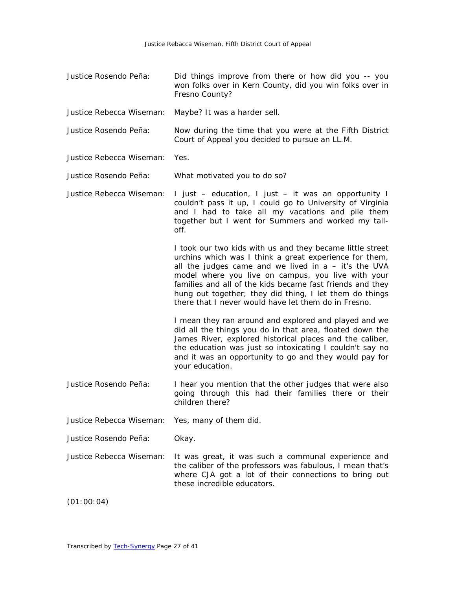| Justice Rosendo Peña:    | Did things improve from there or how did you -- you<br>won folks over in Kern County, did you win folks over in<br>Fresno County?                                                                                                                                                                                                                                                                                   |
|--------------------------|---------------------------------------------------------------------------------------------------------------------------------------------------------------------------------------------------------------------------------------------------------------------------------------------------------------------------------------------------------------------------------------------------------------------|
| Justice Rebecca Wiseman: | Maybe? It was a harder sell.                                                                                                                                                                                                                                                                                                                                                                                        |
| Justice Rosendo Peña:    | Now during the time that you were at the Fifth District<br>Court of Appeal you decided to pursue an LL.M.                                                                                                                                                                                                                                                                                                           |
| Justice Rebecca Wiseman: | Yes.                                                                                                                                                                                                                                                                                                                                                                                                                |
| Justice Rosendo Peña:    | What motivated you to do so?                                                                                                                                                                                                                                                                                                                                                                                        |
| Justice Rebecca Wiseman: | I just – education, I just – it was an opportunity I<br>couldn't pass it up, I could go to University of Virginia<br>and I had to take all my vacations and pile them<br>together but I went for Summers and worked my tail-<br>off.                                                                                                                                                                                |
|                          | I took our two kids with us and they became little street<br>urchins which was I think a great experience for them,<br>all the judges came and we lived in $a - it's$ the UVA<br>model where you live on campus, you live with your<br>families and all of the kids became fast friends and they<br>hung out together; they did thing, I let them do things<br>there that I never would have let them do in Fresno. |
|                          | I mean they ran around and explored and played and we<br>did all the things you do in that area, floated down the<br>James River, explored historical places and the caliber,<br>the education was just so intoxicating I couldn't say no<br>and it was an opportunity to go and they would pay for<br>your education.                                                                                              |
| Justice Rosendo Peña:    | I hear you mention that the other judges that were also<br>going through this had their families there or their<br>children there?                                                                                                                                                                                                                                                                                  |
| Justice Rebecca Wiseman: | Yes, many of them did.                                                                                                                                                                                                                                                                                                                                                                                              |
| Justice Rosendo Peña:    | Okay.                                                                                                                                                                                                                                                                                                                                                                                                               |
| Justice Rebecca Wiseman: | It was great, it was such a communal experience and<br>the caliber of the professors was fabulous, I mean that's<br>where CJA got a lot of their connections to bring out<br>these incredible educators.                                                                                                                                                                                                            |
|                          |                                                                                                                                                                                                                                                                                                                                                                                                                     |

(01:00:04)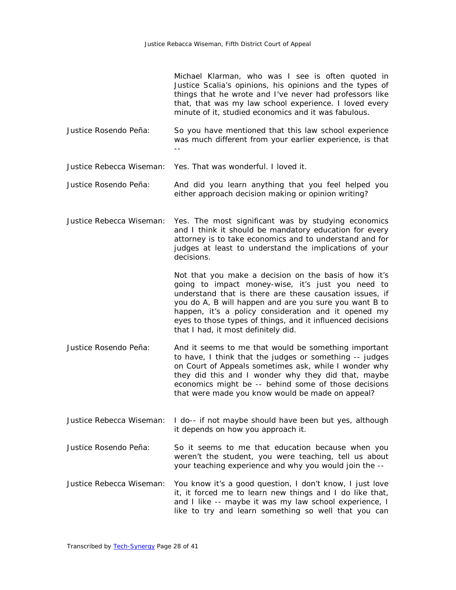Michael Klarman, who was I see is often quoted in Justice Scalia's opinions, his opinions and the types of things that he wrote and I've never had professors like that, that was my law school experience. I loved every minute of it, studied economics and it was fabulous.

Justice Rosendo Peña: So you have mentioned that this law school experience was much different from your earlier experience, is that --

Justice Rebecca Wiseman: Yes. That was wonderful. I loved it.

- Justice Rosendo Peña: And did you learn anything that you feel helped you either approach decision making or opinion writing?
- Justice Rebecca Wiseman: Yes. The most significant was by studying economics and I think it should be mandatory education for every attorney is to take economics and to understand and for judges at least to understand the implications of your decisions.

Not that you make a decision on the basis of how it's going to impact money-wise, it's just you need to understand that is there are these causation issues, if you do A, B will happen and are you sure you want B to happen, it's a policy consideration and it opened my eyes to those types of things, and it influenced decisions that I had, it most definitely did.

- Justice Rosendo Peña: And it seems to me that would be something important to have, I think that the judges or something -- judges on Court of Appeals sometimes ask, while I wonder why they did this and I wonder why they did that, maybe economics might be -- behind some of those decisions that were made you know would be made on appeal?
- Justice Rebecca Wiseman: I do-- if not maybe should have been but yes, although it depends on how you approach it.
- Justice Rosendo Peña: So it seems to me that education because when you weren't the student, you were teaching, tell us about your teaching experience and why you would join the --
- Justice Rebecca Wiseman: You know it's a good question, I don't know, I just love it, it forced me to learn new things and I do like that, and I like -- maybe it was my law school experience, I like to try and learn something so well that you can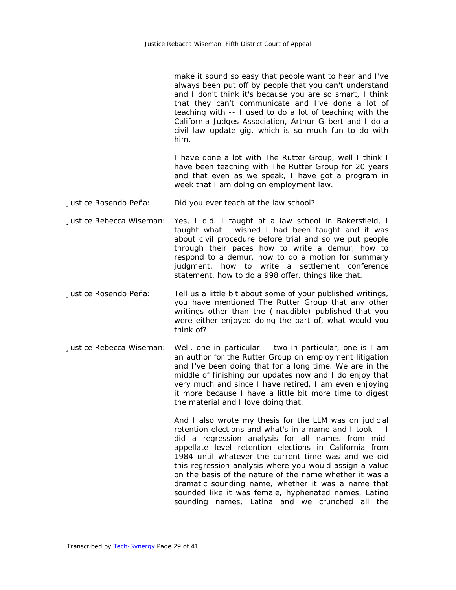make it sound so easy that people want to hear and I've always been put off by people that you can't understand and I don't think it's because you are so smart, I think that they can't communicate and I've done a lot of teaching with -- I used to do a lot of teaching with the California Judges Association, Arthur Gilbert and I do a civil law update gig, which is so much fun to do with him.

I have done a lot with The Rutter Group, well I think I have been teaching with The Rutter Group for 20 years and that even as we speak, I have got a program in week that I am doing on employment law.

- Justice Rosendo Peña: Did you ever teach at the law school?
- Justice Rebecca Wiseman: Yes, I did. I taught at a law school in Bakersfield, I taught what I wished I had been taught and it was about civil procedure before trial and so we put people through their paces how to write a demur, how to respond to a demur, how to do a motion for summary judgment, how to write a settlement conference statement, how to do a 998 offer, things like that.
- Justice Rosendo Peña: Tell us a little bit about some of your published writings, you have mentioned The Rutter Group that any other writings other than the (Inaudible) published that you were either enjoyed doing the part of, what would you think of?
- Justice Rebecca Wiseman: Well, one in particular -- two in particular, one is I am an author for the Rutter Group on employment litigation and I've been doing that for a long time. We are in the middle of finishing our updates now and I do enjoy that very much and since I have retired, I am even enjoying it more because I have a little bit more time to digest the material and I love doing that.

And I also wrote my thesis for the LLM was on judicial retention elections and what's in a name and I took -- I did a regression analysis for all names from midappellate level retention elections in California from 1984 until whatever the current time was and we did this regression analysis where you would assign a value on the basis of the nature of the name whether it was a dramatic sounding name, whether it was a name that sounded like it was female, hyphenated names, Latino sounding names, Latina and we crunched all the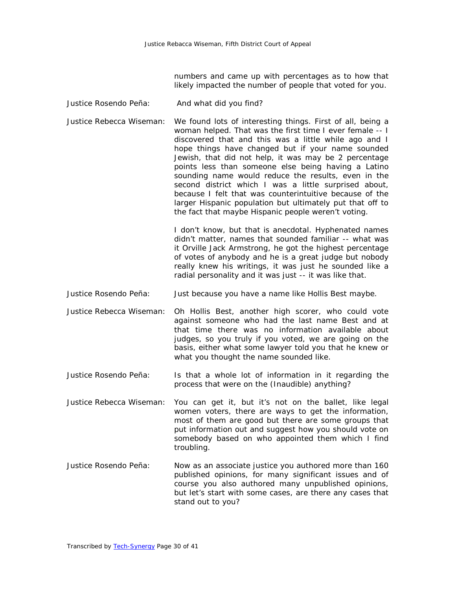numbers and came up with percentages as to how that likely impacted the number of people that voted for you.

- Justice Rosendo Peña: And what did you find?
- Justice Rebecca Wiseman: We found lots of interesting things. First of all, being a woman helped. That was the first time I ever female -- I discovered that and this was a little while ago and I hope things have changed but if your name sounded Jewish, that did not help, it was may be 2 percentage points less than someone else being having a Latino sounding name would reduce the results, even in the second district which I was a little surprised about, because I felt that was counterintuitive because of the larger Hispanic population but ultimately put that off to the fact that maybe Hispanic people weren't voting.

I don't know, but that is anecdotal. Hyphenated names didn't matter, names that sounded familiar -- what was it Orville Jack Armstrong, he got the highest percentage of votes of anybody and he is a great judge but nobody really knew his writings, it was just he sounded like a radial personality and it was just -- it was like that.

- Justice Rosendo Peña: Just because you have a name like Hollis Best maybe.
- Justice Rebecca Wiseman: Oh Hollis Best, another high scorer, who could vote against someone who had the last name Best and at that time there was no information available about judges, so you truly if you voted, we are going on the basis, either what some lawyer told you that he knew or what you thought the name sounded like.
- Justice Rosendo Peña: Is that a whole lot of information in it regarding the process that were on the (Inaudible) anything?
- Justice Rebecca Wiseman: You can get it, but it's not on the ballet, like legal women voters, there are ways to get the information, most of them are good but there are some groups that put information out and suggest how you should vote on somebody based on who appointed them which I find troubling.
- Justice Rosendo Peña: Now as an associate justice you authored more than 160 published opinions, for many significant issues and of course you also authored many unpublished opinions, but let's start with some cases, are there any cases that stand out to you?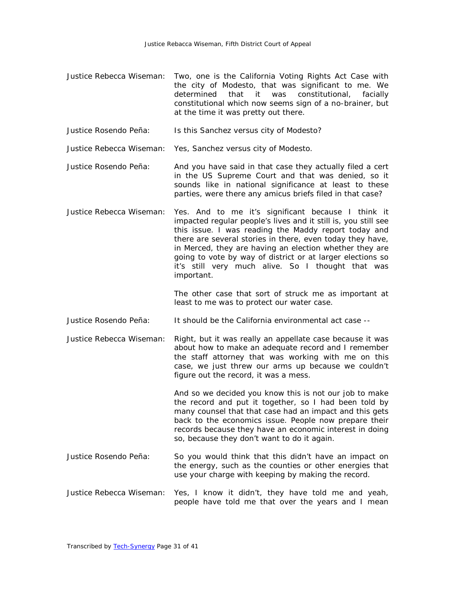- Justice Rebecca Wiseman: Two, one is the California Voting Rights Act Case with the city of Modesto, that was significant to me. We determined that it was constitutional, facially constitutional which now seems sign of a no-brainer, but at the time it was pretty out there.
- Justice Rosendo Peña: Is this Sanchez versus city of Modesto?

Justice Rebecca Wiseman: Yes, Sanchez versus city of Modesto.

- Justice Rosendo Peña: And you have said in that case they actually filed a cert in the US Supreme Court and that was denied, so it sounds like in national significance at least to these parties, were there any amicus briefs filed in that case?
- Justice Rebecca Wiseman: Yes. And to me it's significant because I think it impacted regular people's lives and it still is, you still see this issue. I was reading the Maddy report today and there are several stories in there, even today they have, in Merced, they are having an election whether they are going to vote by way of district or at larger elections so it's still very much alive. So I thought that was important.

The other case that sort of struck me as important at least to me was to protect our water case.

- Justice Rosendo Peña: It should be the California environmental act case --
- Justice Rebecca Wiseman: Right, but it was really an appellate case because it was about how to make an adequate record and I remember the staff attorney that was working with me on this case, we just threw our arms up because we couldn't figure out the record, it was a mess.

And so we decided you know this is not our job to make the record and put it together, so I had been told by many counsel that that case had an impact and this gets back to the economics issue. People now prepare their records because they have an economic interest in doing so, because they don't want to do it again.

- Justice Rosendo Peña: So you would think that this didn't have an impact on the energy, such as the counties or other energies that use your charge with keeping by making the record.
- Justice Rebecca Wiseman: Yes, I know it didn't, they have told me and yeah, people have told me that over the years and I mean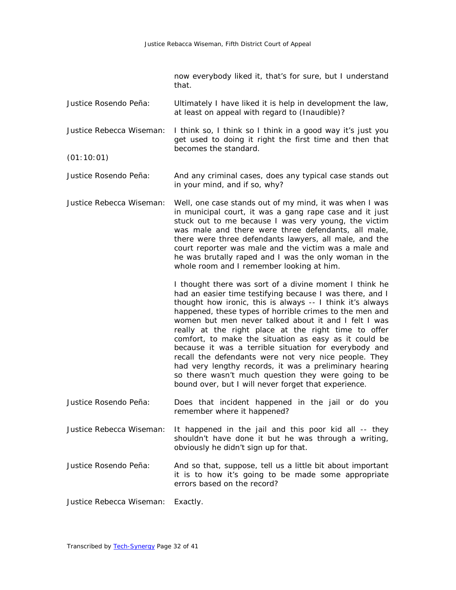now everybody liked it, that's for sure, but I understand that.

Justice Rosendo Peña: Ultimately I have liked it is help in development the law, at least on appeal with regard to (Inaudible)?

Justice Rebecca Wiseman: I think so, I think so I think in a good way it's just you get used to doing it right the first time and then that becomes the standard.

(01:10:01)

Justice Rosendo Peña: And any criminal cases, does any typical case stands out in your mind, and if so, why?

Justice Rebecca Wiseman: Well, one case stands out of my mind, it was when I was in municipal court, it was a gang rape case and it just stuck out to me because I was very young, the victim was male and there were three defendants, all male, there were three defendants lawyers, all male, and the court reporter was male and the victim was a male and he was brutally raped and I was the only woman in the whole room and I remember looking at him.

> I thought there was sort of a divine moment I think he had an easier time testifying because I was there, and I thought how ironic, this is always -- I think it's always happened, these types of horrible crimes to the men and women but men never talked about it and I felt I was really at the right place at the right time to offer comfort, to make the situation as easy as it could be because it was a terrible situation for everybody and recall the defendants were not very nice people. They had very lengthy records, it was a preliminary hearing so there wasn't much question they were going to be bound over, but I will never forget that experience.

- Justice Rosendo Peña: Does that incident happened in the jail or do you remember where it happened?
- Justice Rebecca Wiseman: It happened in the jail and this poor kid all -- they shouldn't have done it but he was through a writing, obviously he didn't sign up for that.
- Justice Rosendo Peña: And so that, suppose, tell us a little bit about important it is to how it's going to be made some appropriate errors based on the record?

Justice Rebecca Wiseman: Exactly.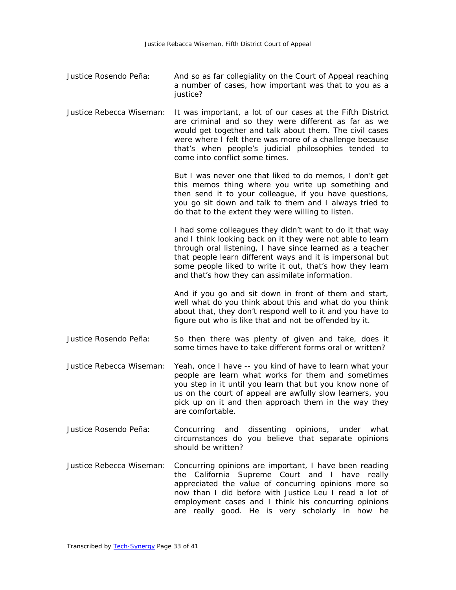- Justice Rosendo Peña: And so as far collegiality on the Court of Appeal reaching a number of cases, how important was that to you as a justice?
- Justice Rebecca Wiseman: It was important, a lot of our cases at the Fifth District are criminal and so they were different as far as we would get together and talk about them. The civil cases were where I felt there was more of a challenge because that's when people's judicial philosophies tended to come into conflict some times.

But I was never one that liked to do memos, I don't get this memos thing where you write up something and then send it to your colleague, if you have questions, you go sit down and talk to them and I always tried to do that to the extent they were willing to listen.

I had some colleagues they didn't want to do it that way and I think looking back on it they were not able to learn through oral listening, I have since learned as a teacher that people learn different ways and it is impersonal but some people liked to write it out, that's how they learn and that's how they can assimilate information.

And if you go and sit down in front of them and start, well what do you think about this and what do you think about that, they don't respond well to it and you have to figure out who is like that and not be offended by it.

- Justice Rosendo Peña: So then there was plenty of given and take, does it some times have to take different forms oral or written?
- Justice Rebecca Wiseman: Yeah, once I have -- you kind of have to learn what your people are learn what works for them and sometimes you step in it until you learn that but you know none of us on the court of appeal are awfully slow learners, you pick up on it and then approach them in the way they are comfortable.
- Justice Rosendo Peña: Concurring and dissenting opinions, under what circumstances do you believe that separate opinions should be written?
- Justice Rebecca Wiseman: Concurring opinions are important, I have been reading the California Supreme Court and I have really appreciated the value of concurring opinions more so now than I did before with Justice Leu I read a lot of employment cases and I think his concurring opinions are really good. He is very scholarly in how he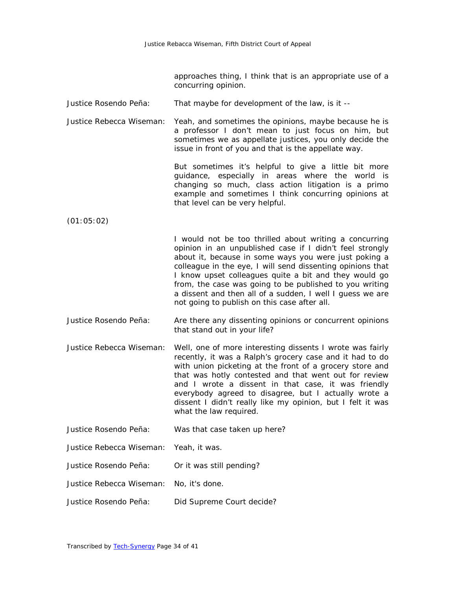approaches thing, I think that is an appropriate use of a concurring opinion.

Justice Rosendo Peña: That maybe for development of the law, is it --

Justice Rebecca Wiseman: Yeah, and sometimes the opinions, maybe because he is a professor I don't mean to just focus on him, but sometimes we as appellate justices, you only decide the issue in front of you and that is the appellate way.

> But sometimes it's helpful to give a little bit more guidance, especially in areas where the world is changing so much, class action litigation is a primo example and sometimes I think concurring opinions at that level can be very helpful.

(01:05:02)

I would not be too thrilled about writing a concurring opinion in an unpublished case if I didn't feel strongly about it, because in some ways you were just poking a colleague in the eye, I will send dissenting opinions that I know upset colleagues quite a bit and they would go from, the case was going to be published to you writing a dissent and then all of a sudden, I well I guess we are not going to publish on this case after all.

- Justice Rosendo Peña: Are there any dissenting opinions or concurrent opinions that stand out in your life?
- Justice Rebecca Wiseman: Well, one of more interesting dissents I wrote was fairly recently, it was a Ralph's grocery case and it had to do with union picketing at the front of a grocery store and that was hotly contested and that went out for review and I wrote a dissent in that case, it was friendly everybody agreed to disagree, but I actually wrote a dissent I didn't really like my opinion, but I felt it was what the law required.
- Justice Rosendo Peña: Was that case taken up here?
- Justice Rebecca Wiseman: Yeah, it was.
- Justice Rosendo Peña: Or it was still pending?
- Justice Rebecca Wiseman: No, it's done.
- Justice Rosendo Peña: Did Supreme Court decide?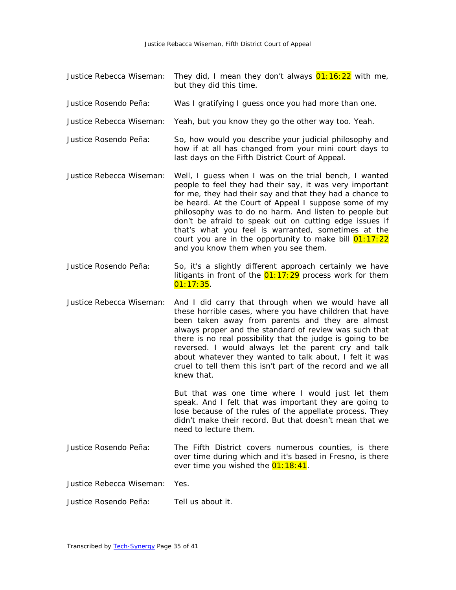- Justice Rebecca Wiseman: They did, I mean they don't always 01:16:22 with me, but they did this time.
- Justice Rosendo Peña: Was I gratifying I guess once you had more than one.
- Justice Rebecca Wiseman: Yeah, but you know they go the other way too. Yeah.
- Justice Rosendo Peña: So, how would you describe your judicial philosophy and how if at all has changed from your mini court days to last days on the Fifth District Court of Appeal.
- Justice Rebecca Wiseman: Well, I guess when I was on the trial bench, I wanted people to feel they had their say, it was very important for me, they had their say and that they had a chance to be heard. At the Court of Appeal I suppose some of my philosophy was to do no harm. And listen to people but don't be afraid to speak out on cutting edge issues if that's what you feel is warranted, sometimes at the court you are in the opportunity to make bill  $01:17:22$ and you know them when you see them.
- Justice Rosendo Peña: So, it's a slightly different approach certainly we have litigants in front of the 01:17:29 process work for them  $01:17:35.$
- Justice Rebecca Wiseman: And I did carry that through when we would have all these horrible cases, where you have children that have been taken away from parents and they are almost always proper and the standard of review was such that there is no real possibility that the judge is going to be reversed. I would always let the parent cry and talk about whatever they wanted to talk about, I felt it was cruel to tell them this isn't part of the record and we all knew that.

But that was one time where I would just let them speak. And I felt that was important they are going to lose because of the rules of the appellate process. They didn't make their record. But that doesn't mean that we need to lecture them.

Justice Rosendo Peña: The Fifth District covers numerous counties, is there over time during which and it's based in Fresno, is there ever time you wished the  $01:18:41$ .

Justice Rebecca Wiseman: Yes.

Justice Rosendo Peña: Tell us about it.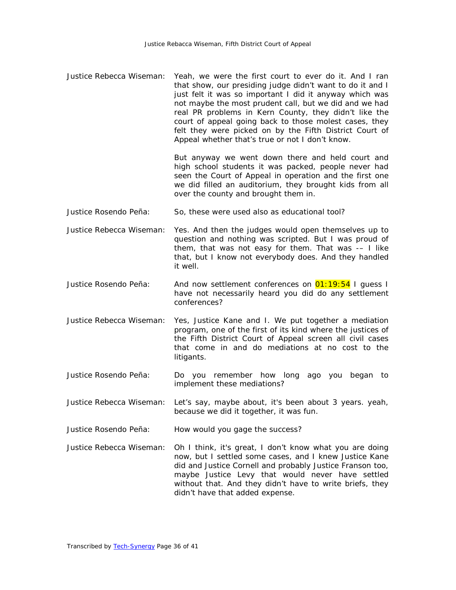Justice Rebecca Wiseman: Yeah, we were the first court to ever do it. And I ran that show, our presiding judge didn't want to do it and I just felt it was so important I did it anyway which was not maybe the most prudent call, but we did and we had real PR problems in Kern County, they didn't like the court of appeal going back to those molest cases, they felt they were picked on by the Fifth District Court of Appeal whether that's true or not I don't know.

> But anyway we went down there and held court and high school students it was packed, people never had seen the Court of Appeal in operation and the first one we did filled an auditorium, they brought kids from all over the county and brought them in.

- Justice Rosendo Peña: So, these were used also as educational tool?
- Justice Rebecca Wiseman: Yes. And then the judges would open themselves up to question and nothing was scripted. But I was proud of them, that was not easy for them. That was -– I like that, but I know not everybody does. And they handled it well.
- Justice Rosendo Peña: And now settlement conferences on 01:19:54 I quess I have not necessarily heard you did do any settlement conferences?
- Justice Rebecca Wiseman: Yes, Justice Kane and I. We put together a mediation program, one of the first of its kind where the justices of the Fifth District Court of Appeal screen all civil cases that come in and do mediations at no cost to the litigants.
- Justice Rosendo Peña: Do you remember how long ago you began to implement these mediations?
- Justice Rebecca Wiseman: Let's say, maybe about, it's been about 3 years. yeah, because we did it together, it was fun.
- Justice Rosendo Peña: How would you gage the success?
- Justice Rebecca Wiseman: Oh I think, it's great, I don't know what you are doing now, but I settled some cases, and I knew Justice Kane did and Justice Cornell and probably Justice Franson too, maybe Justice Levy that would never have settled without that. And they didn't have to write briefs, they didn't have that added expense.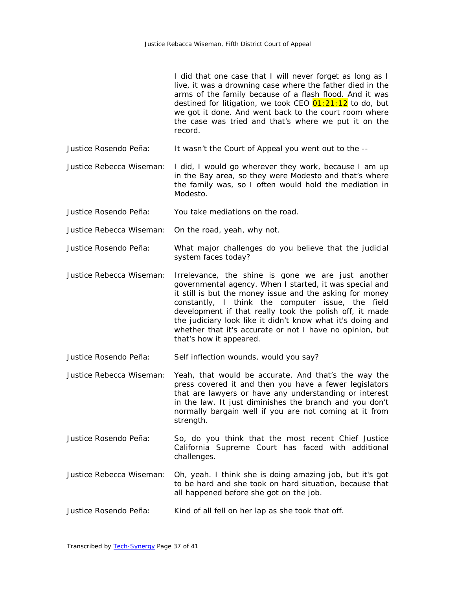I did that one case that I will never forget as long as I live, it was a drowning case where the father died in the arms of the family because of a flash flood. And it was destined for litigation, we took CEO  $01:21:12$  to do, but we got it done. And went back to the court room where the case was tried and that's where we put it on the record.

Justice Rosendo Peña: It wasn't the Court of Appeal you went out to the --

Justice Rebecca Wiseman: I did, I would go wherever they work, because I am up in the Bay area, so they were Modesto and that's where the family was, so I often would hold the mediation in Modesto.

- Justice Rosendo Peña: You take mediations on the road.
- Justice Rebecca Wiseman: On the road, yeah, why not.
- Justice Rosendo Peña: What major challenges do you believe that the judicial system faces today?
- Justice Rebecca Wiseman: Irrelevance, the shine is gone we are just another governmental agency. When I started, it was special and it still is but the money issue and the asking for money constantly, I think the computer issue, the field development if that really took the polish off, it made the judiciary look like it didn't know what it's doing and whether that it's accurate or not I have no opinion, but that's how it appeared.
- Justice Rosendo Peña: Self inflection wounds, would you say?
- Justice Rebecca Wiseman: Yeah, that would be accurate. And that's the way the press covered it and then you have a fewer legislators that are lawyers or have any understanding or interest in the law. It just diminishes the branch and you don't normally bargain well if you are not coming at it from strength.
- Justice Rosendo Peña: So, do you think that the most recent Chief Justice California Supreme Court has faced with additional challenges.
- Justice Rebecca Wiseman: Oh, yeah. I think she is doing amazing job, but it's got to be hard and she took on hard situation, because that all happened before she got on the job.
- Justice Rosendo Peña: Kind of all fell on her lap as she took that off.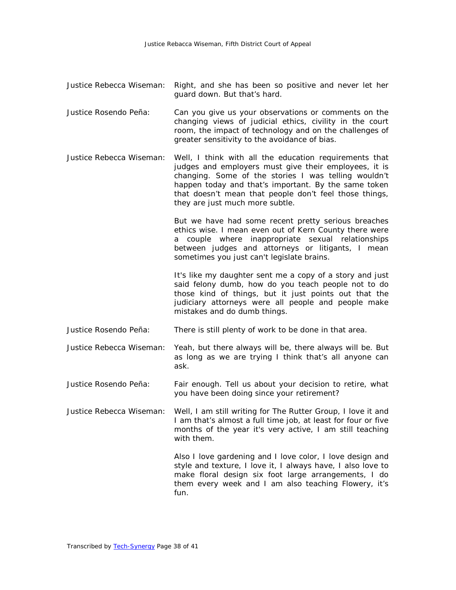- Justice Rebecca Wiseman: Right, and she has been so positive and never let her guard down. But that's hard.
- Justice Rosendo Peña: Can you give us your observations or comments on the changing views of judicial ethics, civility in the court room, the impact of technology and on the challenges of greater sensitivity to the avoidance of bias.
- Justice Rebecca Wiseman: Well, I think with all the education requirements that judges and employers must give their employees, it is changing. Some of the stories I was telling wouldn't happen today and that's important. By the same token that doesn't mean that people don't feel those things, they are just much more subtle.

But we have had some recent pretty serious breaches ethics wise. I mean even out of Kern County there were a couple where inappropriate sexual relationships between judges and attorneys or litigants, I mean sometimes you just can't legislate brains.

It's like my daughter sent me a copy of a story and just said felony dumb, how do you teach people not to do those kind of things, but it just points out that the judiciary attorneys were all people and people make mistakes and do dumb things.

- Justice Rosendo Peña: There is still plenty of work to be done in that area.
- Justice Rebecca Wiseman: Yeah, but there always will be, there always will be. But as long as we are trying I think that's all anyone can ask.
- Justice Rosendo Peña: Fair enough. Tell us about your decision to retire, what you have been doing since your retirement?
- Justice Rebecca Wiseman: Well, I am still writing for The Rutter Group, I love it and I am that's almost a full time job, at least for four or five months of the year it's very active, I am still teaching with them.

Also I love gardening and I love color, I love design and style and texture, I love it, I always have, I also love to make floral design six foot large arrangements, I do them every week and I am also teaching Flowery, it's fun.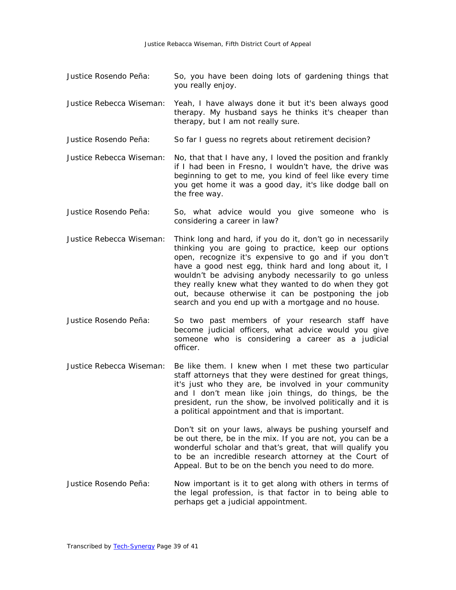- Justice Rosendo Peña: So, you have been doing lots of gardening things that you really enjoy.
- Justice Rebecca Wiseman: Yeah, I have always done it but it's been always good therapy. My husband says he thinks it's cheaper than therapy, but I am not really sure.
- Justice Rosendo Peña: So far I guess no regrets about retirement decision?
- Justice Rebecca Wiseman: No, that that I have any, I loved the position and frankly if I had been in Fresno, I wouldn't have, the drive was beginning to get to me, you kind of feel like every time you get home it was a good day, it's like dodge ball on the free way.
- Justice Rosendo Peña: So, what advice would you give someone who is considering a career in law?
- Justice Rebecca Wiseman: Think long and hard, if you do it, don't go in necessarily thinking you are going to practice, keep our options open, recognize it's expensive to go and if you don't have a good nest egg, think hard and long about it, I wouldn't be advising anybody necessarily to go unless they really knew what they wanted to do when they got out, because otherwise it can be postponing the job search and you end up with a mortgage and no house.
- Justice Rosendo Peña: So two past members of your research staff have become judicial officers, what advice would you give someone who is considering a career as a judicial officer.
- Justice Rebecca Wiseman: Be like them. I knew when I met these two particular staff attorneys that they were destined for great things, it's just who they are, be involved in your community and I don't mean like join things, do things, be the president, run the show, be involved politically and it is a political appointment and that is important.

Don't sit on your laws, always be pushing yourself and be out there, be in the mix. If you are not, you can be a wonderful scholar and that's great, that will qualify you to be an incredible research attorney at the Court of Appeal. But to be on the bench you need to do more.

Justice Rosendo Peña: Now important is it to get along with others in terms of the legal profession, is that factor in to being able to perhaps get a judicial appointment.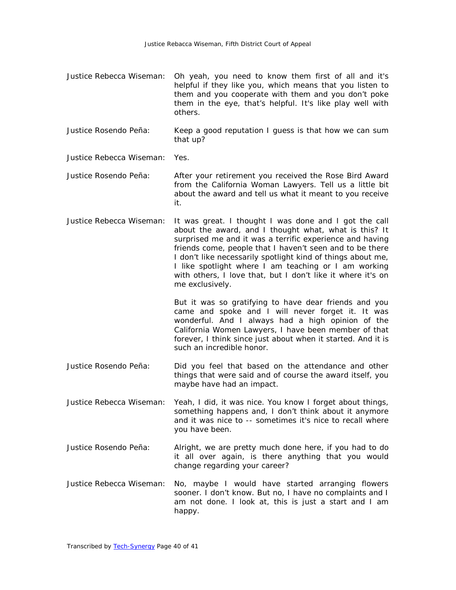- Justice Rebecca Wiseman: Oh yeah, you need to know them first of all and it's helpful if they like you, which means that you listen to them and you cooperate with them and you don't poke them in the eye, that's helpful. It's like play well with others.
- Justice Rosendo Peña: Keep a good reputation I guess is that how we can sum that up?

Justice Rebecca Wiseman: Yes.

- Justice Rosendo Peña: After your retirement you received the Rose Bird Award from the California Woman Lawyers. Tell us a little bit about the award and tell us what it meant to you receive it.
- Justice Rebecca Wiseman: It was great. I thought I was done and I got the call about the award, and I thought what, what is this? It surprised me and it was a terrific experience and having friends come, people that I haven't seen and to be there I don't like necessarily spotlight kind of things about me, I like spotlight where I am teaching or I am working with others, I love that, but I don't like it where it's on me exclusively.

But it was so gratifying to have dear friends and you came and spoke and I will never forget it. It was wonderful. And I always had a high opinion of the California Women Lawyers, I have been member of that forever, I think since just about when it started. And it is such an incredible honor.

- Justice Rosendo Peña: Did you feel that based on the attendance and other things that were said and of course the award itself, you maybe have had an impact.
- Justice Rebecca Wiseman: Yeah, I did, it was nice. You know I forget about things, something happens and, I don't think about it anymore and it was nice to -- sometimes it's nice to recall where you have been.
- Justice Rosendo Peña: Alright, we are pretty much done here, if you had to do it all over again, is there anything that you would change regarding your career?
- Justice Rebecca Wiseman: No, maybe I would have started arranging flowers sooner. I don't know. But no, I have no complaints and I am not done. I look at, this is just a start and I am happy.